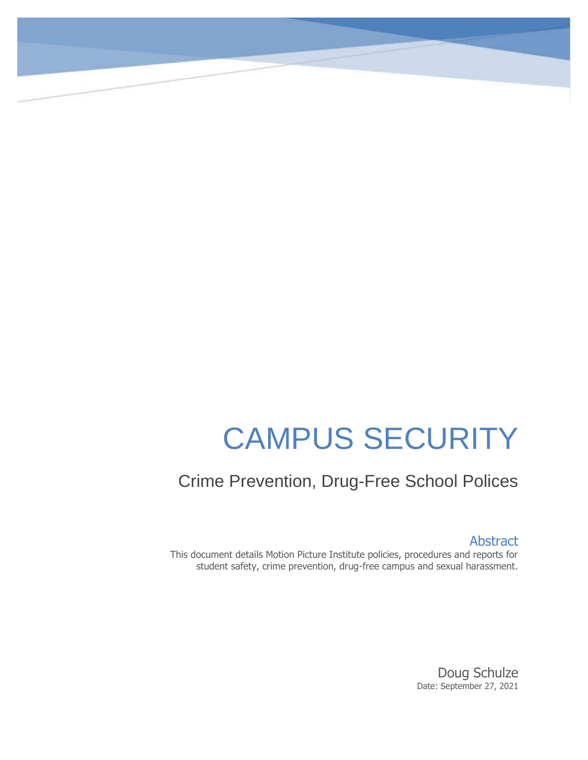# CAMPUS SECURITY

# Crime Prevention, Drug-Free School Polices

Abstract

This document details Motion Picture Institute policies, procedures and reports for student safety, crime prevention, drug-free campus and sexual harassment.

> Doug Schulze Date: September 27, 2021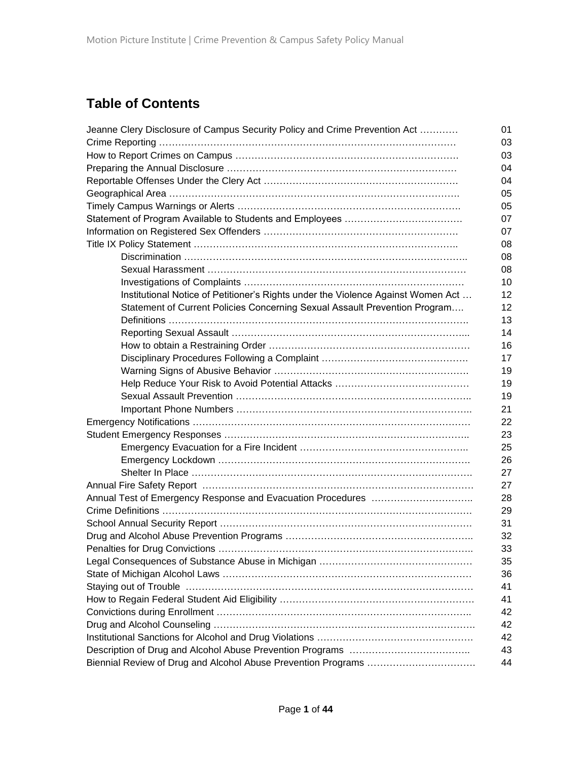# **Table of Contents**

| Jeanne Clery Disclosure of Campus Security Policy and Crime Prevention Act       | 01                |
|----------------------------------------------------------------------------------|-------------------|
|                                                                                  | 03                |
|                                                                                  | 03                |
|                                                                                  | 04                |
|                                                                                  | 04                |
|                                                                                  | 05                |
|                                                                                  | 05                |
|                                                                                  | 07                |
|                                                                                  | 07                |
|                                                                                  | 08                |
|                                                                                  | 08                |
|                                                                                  | 08                |
|                                                                                  | 10                |
| Institutional Notice of Petitioner's Rights under the Violence Against Women Act | $12 \overline{ }$ |
| Statement of Current Policies Concerning Sexual Assault Prevention Program       | $12 \overline{ }$ |
|                                                                                  | 13                |
|                                                                                  | 14                |
|                                                                                  | 16                |
|                                                                                  | 17                |
|                                                                                  | 19                |
|                                                                                  | 19                |
|                                                                                  | 19                |
|                                                                                  | 21                |
|                                                                                  | 22                |
|                                                                                  | 23                |
|                                                                                  | 25                |
|                                                                                  | 26                |
|                                                                                  | 27                |
|                                                                                  | 27                |
|                                                                                  | 28                |
|                                                                                  | 29                |
|                                                                                  | 31                |
|                                                                                  | 32                |
|                                                                                  | 33                |
|                                                                                  | 35                |
|                                                                                  | 36                |
|                                                                                  | 41                |
|                                                                                  | 41                |
|                                                                                  | 42                |
|                                                                                  | 42                |
|                                                                                  | 42                |
|                                                                                  | 43                |
|                                                                                  | 44                |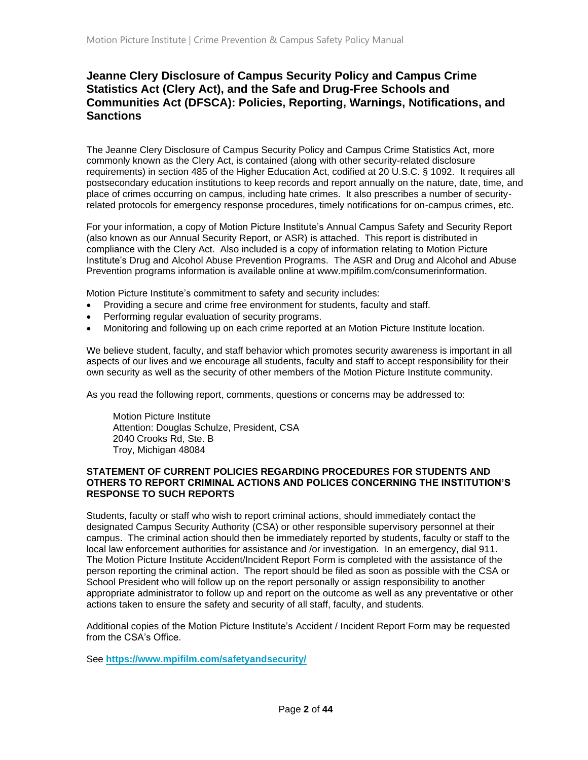# **Jeanne Clery Disclosure of Campus Security Policy and Campus Crime Statistics Act (Clery Act), and the Safe and Drug-Free Schools and Communities Act (DFSCA): Policies, Reporting, Warnings, Notifications, and Sanctions**

The Jeanne Clery Disclosure of Campus Security Policy and Campus Crime Statistics Act, more commonly known as the Clery Act, is contained (along with other security-related disclosure requirements) in section 485 of the Higher Education Act, codified at 20 U.S.C. § 1092. It requires all postsecondary education institutions to keep records and report annually on the nature, date, time, and place of crimes occurring on campus, including hate crimes. It also prescribes a number of securityrelated protocols for emergency response procedures, timely notifications for on-campus crimes, etc.

For your information, a copy of Motion Picture Institute's Annual Campus Safety and Security Report (also known as our Annual Security Report, or ASR) is attached. This report is distributed in compliance with the Clery Act. Also included is a copy of information relating to Motion Picture Institute's Drug and Alcohol Abuse Prevention Programs. The ASR and Drug and Alcohol and Abuse Prevention programs information is available online at www.mpifilm.com/consumerinformation.

Motion Picture Institute's commitment to safety and security includes:

- Providing a secure and crime free environment for students, faculty and staff.
- Performing regular evaluation of security programs.
- Monitoring and following up on each crime reported at an Motion Picture Institute location.

We believe student, faculty, and staff behavior which promotes security awareness is important in all aspects of our lives and we encourage all students, faculty and staff to accept responsibility for their own security as well as the security of other members of the Motion Picture Institute community.

As you read the following report, comments, questions or concerns may be addressed to:

 Motion Picture Institute Attention: Douglas Schulze, President, CSA 2040 Crooks Rd, Ste. B Troy, Michigan 48084

#### **STATEMENT OF CURRENT POLICIES REGARDING PROCEDURES FOR STUDENTS AND OTHERS TO REPORT CRIMINAL ACTIONS AND POLICES CONCERNING THE INSTITUTION'S RESPONSE TO SUCH REPORTS**

Students, faculty or staff who wish to report criminal actions, should immediately contact the designated Campus Security Authority (CSA) or other responsible supervisory personnel at their campus. The criminal action should then be immediately reported by students, faculty or staff to the local law enforcement authorities for assistance and /or investigation. In an emergency, dial 911. The Motion Picture Institute Accident/Incident Report Form is completed with the assistance of the person reporting the criminal action. The report should be filed as soon as possible with the CSA or School President who will follow up on the report personally or assign responsibility to another appropriate administrator to follow up and report on the outcome as well as any preventative or other actions taken to ensure the safety and security of all staff, faculty, and students.

Additional copies of the Motion Picture Institute's Accident / Incident Report Form may be requested from the CSA's Office.

See **<https://www.mpifilm.com/safetyandsecurity/>**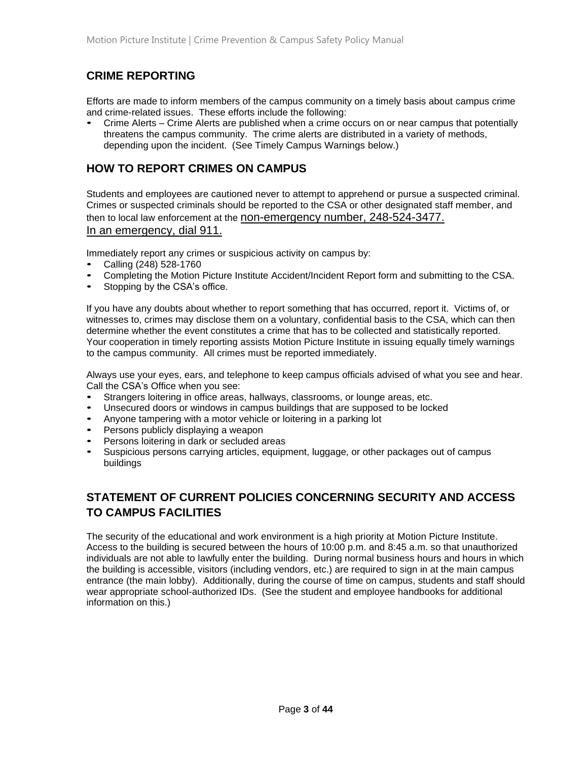# **CRIME REPORTING**

Efforts are made to inform members of the campus community on a timely basis about campus crime and crime-related issues. These efforts include the following:

• Crime Alerts – Crime Alerts are published when a crime occurs on or near campus that potentially threatens the campus community. The crime alerts are distributed in a variety of methods, depending upon the incident. (See Timely Campus Warnings below.)

# **HOW TO REPORT CRIMES ON CAMPUS**

Students and employees are cautioned never to attempt to apprehend or pursue a suspected criminal. Crimes or suspected criminals should be reported to the CSA or other designated staff member, and then to local law enforcement at the non-emergency number, 248-524-3477.

#### In an emergency, dial 911.

Immediately report any crimes or suspicious activity on campus by:

- Calling (248) 528-1760
- Completing the Motion Picture Institute Accident/Incident Report form and submitting to the CSA.
- Stopping by the CSA's office.

If you have any doubts about whether to report something that has occurred, report it. Victims of, or witnesses to, crimes may disclose them on a voluntary, confidential basis to the CSA, which can then determine whether the event constitutes a crime that has to be collected and statistically reported. Your cooperation in timely reporting assists Motion Picture Institute in issuing equally timely warnings to the campus community. All crimes must be reported immediately.

Always use your eyes, ears, and telephone to keep campus officials advised of what you see and hear. Call the CSA's Office when you see:

- Strangers loitering in office areas, hallways, classrooms, or lounge areas, etc.
- Unsecured doors or windows in campus buildings that are supposed to be locked
- Anyone tampering with a motor vehicle or loitering in a parking lot
- Persons publicly displaying a weapon
- Persons loitering in dark or secluded areas
- Suspicious persons carrying articles, equipment, luggage, or other packages out of campus buildings

# **STATEMENT OF CURRENT POLICIES CONCERNING SECURITY AND ACCESS TO CAMPUS FACILITIES**

The security of the educational and work environment is a high priority at Motion Picture Institute. Access to the building is secured between the hours of 10:00 p.m. and 8:45 a.m. so that unauthorized individuals are not able to lawfully enter the building. During normal business hours and hours in which the building is accessible, visitors (including vendors, etc.) are required to sign in at the main campus entrance (the main lobby). Additionally, during the course of time on campus, students and staff should wear appropriate school-authorized IDs. (See the student and employee handbooks for additional information on this.)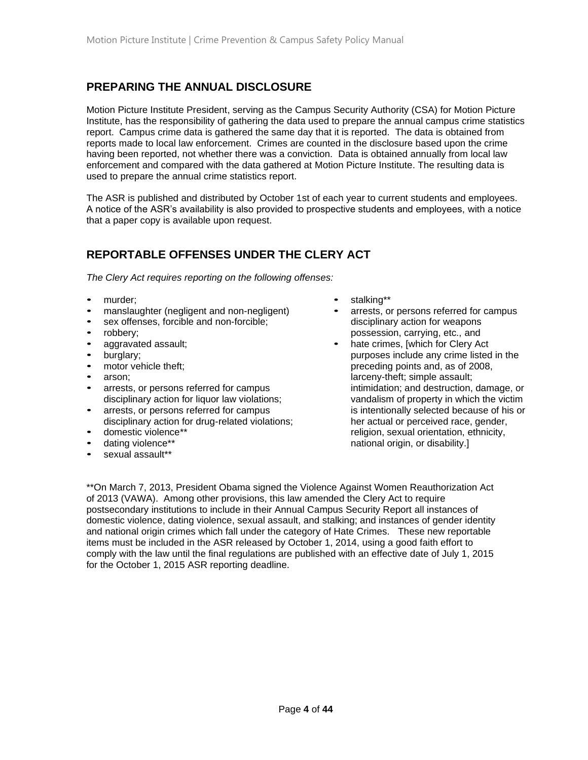# **PREPARING THE ANNUAL DISCLOSURE**

Motion Picture Institute President, serving as the Campus Security Authority (CSA) for Motion Picture Institute, has the responsibility of gathering the data used to prepare the annual campus crime statistics report. Campus crime data is gathered the same day that it is reported. The data is obtained from reports made to local law enforcement. Crimes are counted in the disclosure based upon the crime having been reported, not whether there was a conviction. Data is obtained annually from local law enforcement and compared with the data gathered at Motion Picture Institute. The resulting data is used to prepare the annual crime statistics report.

The ASR is published and distributed by October 1st of each year to current students and employees. A notice of the ASR's availability is also provided to prospective students and employees, with a notice that a paper copy is available upon request.

# **REPORTABLE OFFENSES UNDER THE CLERY ACT**

*The Clery Act requires reporting on the following offenses:* 

- murder:
- manslaughter (negligent and non-negligent)
- sex offenses, forcible and non-forcible;
- robbery;
- aggravated assault;
- burglary:
- motor vehicle theft:
- arson;
- arrests, or persons referred for campus disciplinary action for liquor law violations;
- arrests, or persons referred for campus disciplinary action for drug-related violations;
- domestic violence\*\*
- dating violence\*\*
- sexual assault\*\*
- stalking\*\*
- arrests, or persons referred for campus disciplinary action for weapons possession, carrying, etc., and
- hate crimes, [which for Clery Act purposes include any crime listed in the preceding points and, as of 2008, larceny-theft; simple assault; intimidation; and destruction, damage, or vandalism of property in which the victim is intentionally selected because of his or her actual or perceived race, gender, religion, sexual orientation, ethnicity, national origin, or disability.]

\*\*On March 7, 2013, President Obama signed the Violence Against Women Reauthorization Act of 2013 (VAWA). Among other provisions, this law amended the Clery Act to require postsecondary institutions to include in their Annual Campus Security Report all instances of domestic violence, dating violence, sexual assault, and stalking; and instances of gender identity and national origin crimes which fall under the category of Hate Crimes. These new reportable items must be included in the ASR released by October 1, 2014, using a good faith effort to comply with the law until the final regulations are published with an effective date of July 1, 2015 for the October 1, 2015 ASR reporting deadline.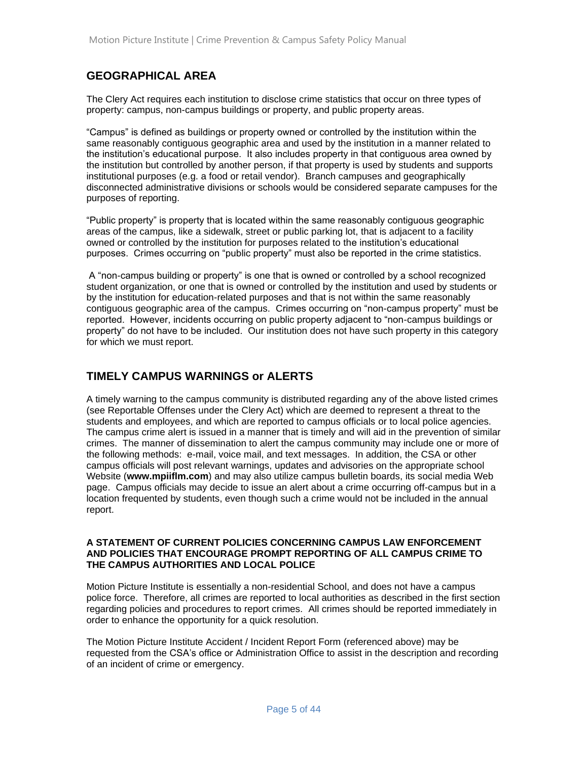# **GEOGRAPHICAL AREA**

The Clery Act requires each institution to disclose crime statistics that occur on three types of property: campus, non-campus buildings or property, and public property areas.

"Campus" is defined as buildings or property owned or controlled by the institution within the same reasonably contiguous geographic area and used by the institution in a manner related to the institution's educational purpose. It also includes property in that contiguous area owned by the institution but controlled by another person, if that property is used by students and supports institutional purposes (e.g. a food or retail vendor). Branch campuses and geographically disconnected administrative divisions or schools would be considered separate campuses for the purposes of reporting.

"Public property" is property that is located within the same reasonably contiguous geographic areas of the campus, like a sidewalk, street or public parking lot, that is adjacent to a facility owned or controlled by the institution for purposes related to the institution's educational purposes. Crimes occurring on "public property" must also be reported in the crime statistics.

A "non-campus building or property" is one that is owned or controlled by a school recognized student organization, or one that is owned or controlled by the institution and used by students or by the institution for education-related purposes and that is not within the same reasonably contiguous geographic area of the campus. Crimes occurring on "non-campus property" must be reported. However, incidents occurring on public property adjacent to "non-campus buildings or property" do not have to be included. Our institution does not have such property in this category for which we must report.

# **TIMELY CAMPUS WARNINGS or ALERTS**

A timely warning to the campus community is distributed regarding any of the above listed crimes (see Reportable Offenses under the Clery Act) which are deemed to represent a threat to the students and employees, and which are reported to campus officials or to local police agencies. The campus crime alert is issued in a manner that is timely and will aid in the prevention of similar crimes. The manner of dissemination to alert the campus community may include one or more of the following methods: e-mail, voice mail, and text messages. In addition, the CSA or other campus officials will post relevant warnings, updates and advisories on the appropriate school Website (**www.mpiiflm.com**) and may also utilize campus bulletin boards, its social media Web page. Campus officials may decide to issue an alert about a crime occurring off-campus but in a location frequented by students, even though such a crime would not be included in the annual report.

#### **A STATEMENT OF CURRENT POLICIES CONCERNING CAMPUS LAW ENFORCEMENT AND POLICIES THAT ENCOURAGE PROMPT REPORTING OF ALL CAMPUS CRIME TO THE CAMPUS AUTHORITIES AND LOCAL POLICE**

Motion Picture Institute is essentially a non-residential School, and does not have a campus police force. Therefore, all crimes are reported to local authorities as described in the first section regarding policies and procedures to report crimes. All crimes should be reported immediately in order to enhance the opportunity for a quick resolution.

The Motion Picture Institute Accident / Incident Report Form (referenced above) may be requested from the CSA's office or Administration Office to assist in the description and recording of an incident of crime or emergency.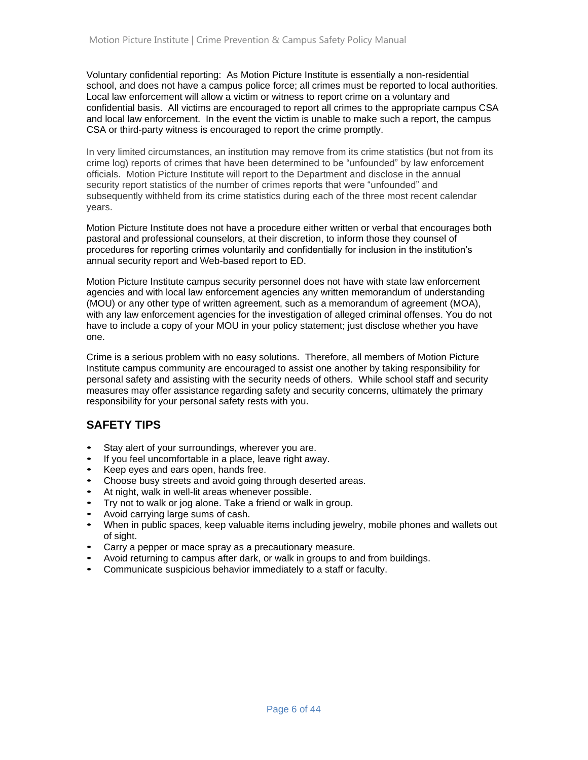Voluntary confidential reporting: As Motion Picture Institute is essentially a non-residential school, and does not have a campus police force; all crimes must be reported to local authorities. Local law enforcement will allow a victim or witness to report crime on a voluntary and confidential basis. All victims are encouraged to report all crimes to the appropriate campus CSA and local law enforcement. In the event the victim is unable to make such a report, the campus CSA or third-party witness is encouraged to report the crime promptly.

In very limited circumstances, an institution may remove from its crime statistics (but not from its crime log) reports of crimes that have been determined to be "unfounded" by law enforcement officials. Motion Picture Institute will report to the Department and disclose in the annual security report statistics of the number of crimes reports that were "unfounded" and subsequently withheld from its crime statistics during each of the three most recent calendar years.

Motion Picture Institute does not have a procedure either written or verbal that encourages both pastoral and professional counselors, at their discretion, to inform those they counsel of procedures for reporting crimes voluntarily and confidentially for inclusion in the institution's annual security report and Web-based report to ED.

Motion Picture Institute campus security personnel does not have with state law enforcement agencies and with local law enforcement agencies any written memorandum of understanding (MOU) or any other type of written agreement, such as a memorandum of agreement (MOA), with any law enforcement agencies for the investigation of alleged criminal offenses. You do not have to include a copy of your MOU in your policy statement; just disclose whether you have one.

Crime is a serious problem with no easy solutions. Therefore, all members of Motion Picture Institute campus community are encouraged to assist one another by taking responsibility for personal safety and assisting with the security needs of others. While school staff and security measures may offer assistance regarding safety and security concerns, ultimately the primary responsibility for your personal safety rests with you.

# **SAFETY TIPS**

- Stay alert of your surroundings, wherever you are.
- If you feel uncomfortable in a place, leave right away.
- Keep eyes and ears open, hands free.
- Choose busy streets and avoid going through deserted areas.
- At night, walk in well-lit areas whenever possible.
- Try not to walk or jog alone. Take a friend or walk in group.
- Avoid carrying large sums of cash.
- When in public spaces, keep valuable items including jewelry, mobile phones and wallets out of sight.
- Carry a pepper or mace spray as a precautionary measure.
- Avoid returning to campus after dark, or walk in groups to and from buildings.
- Communicate suspicious behavior immediately to a staff or faculty.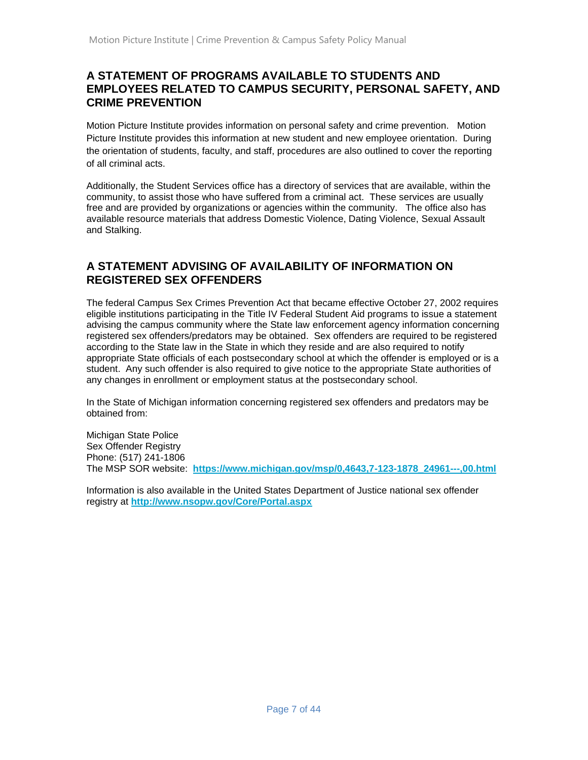# **A STATEMENT OF PROGRAMS AVAILABLE TO STUDENTS AND EMPLOYEES RELATED TO CAMPUS SECURITY, PERSONAL SAFETY, AND CRIME PREVENTION**

Motion Picture Institute provides information on personal safety and crime prevention. Motion Picture Institute provides this information at new student and new employee orientation. During the orientation of students, faculty, and staff, procedures are also outlined to cover the reporting of all criminal acts.

Additionally, the Student Services office has a directory of services that are available, within the community, to assist those who have suffered from a criminal act. These services are usually free and are provided by organizations or agencies within the community. The office also has available resource materials that address Domestic Violence, Dating Violence, Sexual Assault and Stalking.

# **A STATEMENT ADVISING OF AVAILABILITY OF INFORMATION ON REGISTERED SEX OFFENDERS**

The federal Campus Sex Crimes Prevention Act that became effective October 27, 2002 requires eligible institutions participating in the Title IV Federal Student Aid programs to issue a statement advising the campus community where the State law enforcement agency information concerning registered sex offenders/predators may be obtained. Sex offenders are required to be registered according to the State law in the State in which they reside and are also required to notify appropriate State officials of each postsecondary school at which the offender is employed or is a student. Any such offender is also required to give notice to the appropriate State authorities of any changes in enrollment or employment status at the postsecondary school.

In the State of Michigan information concerning registered sex offenders and predators may be obtained from:

Michigan State Police Sex Offender Registry Phone: (517) 241-1806 The MSP SOR website: **[https://www.michigan.gov/msp/0,4643,7-123-1878\\_24961---,00.html](https://www.michigan.gov/msp/0,4643,7-123-1878_24961---,00.html)**

Information is also available in the United States Department of Justice national sex offender registry at **<http://www.nsopw.gov/Core/Portal.aspx>**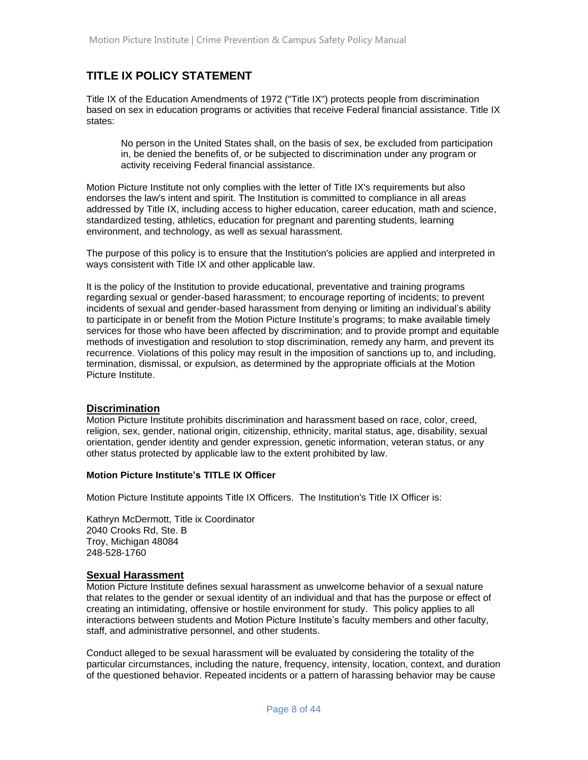# **TITLE IX POLICY STATEMENT**

Title IX of the Education Amendments of 1972 ("Title IX") protects people from discrimination based on sex in education programs or activities that receive Federal financial assistance. Title IX states:

No person in the United States shall, on the basis of sex, be excluded from participation in, be denied the benefits of, or be subjected to discrimination under any program or activity receiving Federal financial assistance.

Motion Picture Institute not only complies with the letter of Title IX's requirements but also endorses the law's intent and spirit. The Institution is committed to compliance in all areas addressed by Title IX, including access to higher education, career education, math and science, standardized testing, athletics, education for pregnant and parenting students, learning environment, and technology, as well as sexual harassment.

The purpose of this policy is to ensure that the Institution's policies are applied and interpreted in ways consistent with Title IX and other applicable law.

It is the policy of the Institution to provide educational, preventative and training programs regarding sexual or gender-based harassment; to encourage reporting of incidents; to prevent incidents of sexual and gender-based harassment from denying or limiting an individual's ability to participate in or benefit from the Motion Picture Institute's programs; to make available timely services for those who have been affected by discrimination; and to provide prompt and equitable methods of investigation and resolution to stop discrimination, remedy any harm, and prevent its recurrence. Violations of this policy may result in the imposition of sanctions up to, and including, termination, dismissal, or expulsion, as determined by the appropriate officials at the Motion Picture Institute.

#### **Discrimination**

Motion Picture Institute prohibits discrimination and harassment based on race, color, creed, religion, sex, gender, national origin, citizenship, ethnicity, marital status, age, disability, sexual orientation, gender identity and gender expression, genetic information, veteran status, or any other status protected by applicable law to the extent prohibited by law.

#### **Motion Picture Institute's TITLE IX Officer**

Motion Picture Institute appoints Title IX Officers. The Institution's Title IX Officer is:

Kathryn McDermott, Title ix Coordinator 2040 Crooks Rd, Ste. B Troy, Michigan 48084 248-528-1760

#### **Sexual Harassment**

Motion Picture Institute defines sexual harassment as unwelcome behavior of a sexual nature that relates to the gender or sexual identity of an individual and that has the purpose or effect of creating an intimidating, offensive or hostile environment for study. This policy applies to all interactions between students and Motion Picture Institute's faculty members and other faculty, staff, and administrative personnel, and other students.

Conduct alleged to be sexual harassment will be evaluated by considering the totality of the particular circumstances, including the nature, frequency, intensity, location, context, and duration of the questioned behavior. Repeated incidents or a pattern of harassing behavior may be cause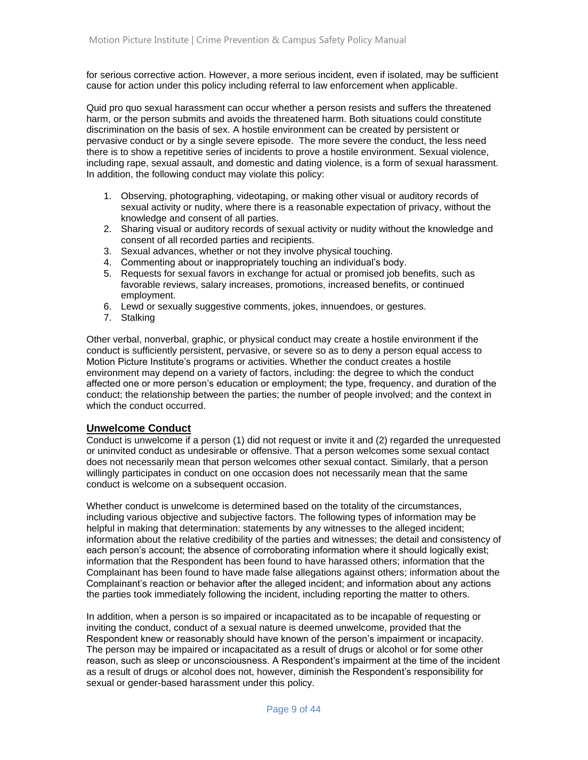for serious corrective action. However, a more serious incident, even if isolated, may be sufficient cause for action under this policy including referral to law enforcement when applicable.

Quid pro quo sexual harassment can occur whether a person resists and suffers the threatened harm, or the person submits and avoids the threatened harm. Both situations could constitute discrimination on the basis of sex. A hostile environment can be created by persistent or pervasive conduct or by a single severe episode. The more severe the conduct, the less need there is to show a repetitive series of incidents to prove a hostile environment. Sexual violence, including rape, sexual assault, and domestic and dating violence, is a form of sexual harassment. In addition, the following conduct may violate this policy:

- 1. Observing, photographing, videotaping, or making other visual or auditory records of sexual activity or nudity, where there is a reasonable expectation of privacy, without the knowledge and consent of all parties.
- 2. Sharing visual or auditory records of sexual activity or nudity without the knowledge and consent of all recorded parties and recipients.
- 3. Sexual advances, whether or not they involve physical touching.
- 4. Commenting about or inappropriately touching an individual's body.
- 5. Requests for sexual favors in exchange for actual or promised job benefits, such as favorable reviews, salary increases, promotions, increased benefits, or continued employment.
- 6. Lewd or sexually suggestive comments, jokes, innuendoes, or gestures.
- 7. Stalking

Other verbal, nonverbal, graphic, or physical conduct may create a hostile environment if the conduct is sufficiently persistent, pervasive, or severe so as to deny a person equal access to Motion Picture Institute's programs or activities. Whether the conduct creates a hostile environment may depend on a variety of factors, including: the degree to which the conduct affected one or more person's education or employment; the type, frequency, and duration of the conduct; the relationship between the parties; the number of people involved; and the context in which the conduct occurred.

#### **Unwelcome Conduct**

Conduct is unwelcome if a person (1) did not request or invite it and (2) regarded the unrequested or uninvited conduct as undesirable or offensive. That a person welcomes some sexual contact does not necessarily mean that person welcomes other sexual contact. Similarly, that a person willingly participates in conduct on one occasion does not necessarily mean that the same conduct is welcome on a subsequent occasion.

Whether conduct is unwelcome is determined based on the totality of the circumstances, including various objective and subjective factors. The following types of information may be helpful in making that determination: statements by any witnesses to the alleged incident; information about the relative credibility of the parties and witnesses; the detail and consistency of each person's account; the absence of corroborating information where it should logically exist; information that the Respondent has been found to have harassed others; information that the Complainant has been found to have made false allegations against others; information about the Complainant's reaction or behavior after the alleged incident; and information about any actions the parties took immediately following the incident, including reporting the matter to others.

In addition, when a person is so impaired or incapacitated as to be incapable of requesting or inviting the conduct, conduct of a sexual nature is deemed unwelcome, provided that the Respondent knew or reasonably should have known of the person's impairment or incapacity. The person may be impaired or incapacitated as a result of drugs or alcohol or for some other reason, such as sleep or unconsciousness. A Respondent's impairment at the time of the incident as a result of drugs or alcohol does not, however, diminish the Respondent's responsibility for sexual or gender-based harassment under this policy.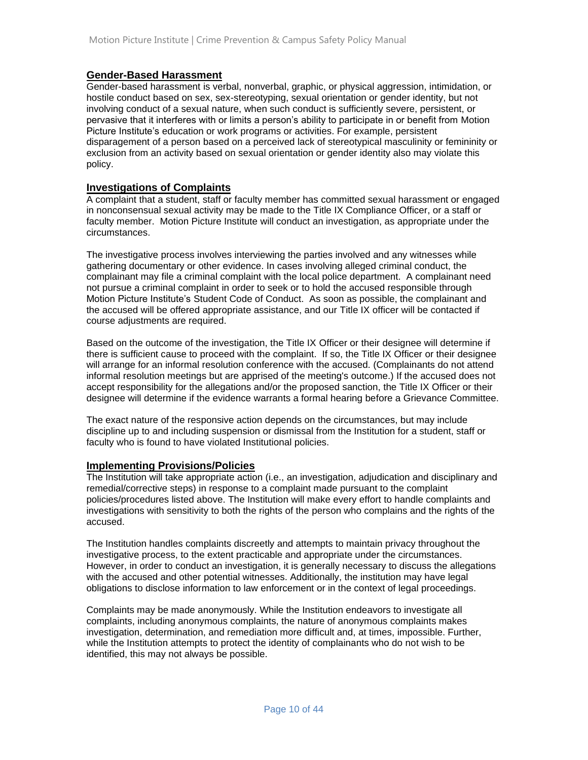#### **Gender-Based Harassment**

Gender-based harassment is verbal, nonverbal, graphic, or physical aggression, intimidation, or hostile conduct based on sex, sex-stereotyping, sexual orientation or gender identity, but not involving conduct of a sexual nature, when such conduct is sufficiently severe, persistent, or pervasive that it interferes with or limits a person's ability to participate in or benefit from Motion Picture Institute's education or work programs or activities. For example, persistent disparagement of a person based on a perceived lack of stereotypical masculinity or femininity or exclusion from an activity based on sexual orientation or gender identity also may violate this policy.

#### **Investigations of Complaints**

A complaint that a student, staff or faculty member has committed sexual harassment or engaged in nonconsensual sexual activity may be made to the Title IX Compliance Officer, or a staff or faculty member. Motion Picture Institute will conduct an investigation, as appropriate under the circumstances.

The investigative process involves interviewing the parties involved and any witnesses while gathering documentary or other evidence. In cases involving alleged criminal conduct, the complainant may file a criminal complaint with the local police department. A complainant need not pursue a criminal complaint in order to seek or to hold the accused responsible through Motion Picture Institute's Student Code of Conduct. As soon as possible, the complainant and the accused will be offered appropriate assistance, and our Title IX officer will be contacted if course adjustments are required.

Based on the outcome of the investigation, the Title IX Officer or their designee will determine if there is sufficient cause to proceed with the complaint. If so, the Title IX Officer or their designee will arrange for an informal resolution conference with the accused. (Complainants do not attend informal resolution meetings but are apprised of the meeting's outcome.) If the accused does not accept responsibility for the allegations and/or the proposed sanction, the Title IX Officer or their designee will determine if the evidence warrants a formal hearing before a Grievance Committee.

The exact nature of the responsive action depends on the circumstances, but may include discipline up to and including suspension or dismissal from the Institution for a student, staff or faculty who is found to have violated Institutional policies.

#### **Implementing Provisions/Policies**

The Institution will take appropriate action (i.e., an investigation, adjudication and disciplinary and remedial/corrective steps) in response to a complaint made pursuant to the complaint policies/procedures listed above. The Institution will make every effort to handle complaints and investigations with sensitivity to both the rights of the person who complains and the rights of the accused.

The Institution handles complaints discreetly and attempts to maintain privacy throughout the investigative process, to the extent practicable and appropriate under the circumstances. However, in order to conduct an investigation, it is generally necessary to discuss the allegations with the accused and other potential witnesses. Additionally, the institution may have legal obligations to disclose information to law enforcement or in the context of legal proceedings.

Complaints may be made anonymously. While the Institution endeavors to investigate all complaints, including anonymous complaints, the nature of anonymous complaints makes investigation, determination, and remediation more difficult and, at times, impossible. Further, while the Institution attempts to protect the identity of complainants who do not wish to be identified, this may not always be possible.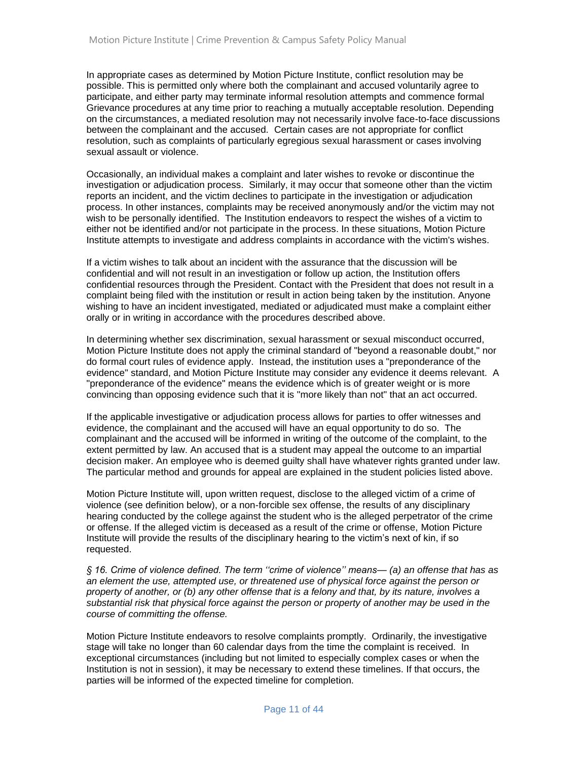In appropriate cases as determined by Motion Picture Institute, conflict resolution may be possible. This is permitted only where both the complainant and accused voluntarily agree to participate, and either party may terminate informal resolution attempts and commence formal Grievance procedures at any time prior to reaching a mutually acceptable resolution. Depending on the circumstances, a mediated resolution may not necessarily involve face-to-face discussions between the complainant and the accused. Certain cases are not appropriate for conflict resolution, such as complaints of particularly egregious sexual harassment or cases involving sexual assault or violence.

Occasionally, an individual makes a complaint and later wishes to revoke or discontinue the investigation or adjudication process. Similarly, it may occur that someone other than the victim reports an incident, and the victim declines to participate in the investigation or adjudication process. In other instances, complaints may be received anonymously and/or the victim may not wish to be personally identified. The Institution endeavors to respect the wishes of a victim to either not be identified and/or not participate in the process. In these situations, Motion Picture Institute attempts to investigate and address complaints in accordance with the victim's wishes.

If a victim wishes to talk about an incident with the assurance that the discussion will be confidential and will not result in an investigation or follow up action, the Institution offers confidential resources through the President. Contact with the President that does not result in a complaint being filed with the institution or result in action being taken by the institution. Anyone wishing to have an incident investigated, mediated or adjudicated must make a complaint either orally or in writing in accordance with the procedures described above.

In determining whether sex discrimination, sexual harassment or sexual misconduct occurred, Motion Picture Institute does not apply the criminal standard of "beyond a reasonable doubt," nor do formal court rules of evidence apply. Instead, the institution uses a "preponderance of the evidence" standard, and Motion Picture Institute may consider any evidence it deems relevant. A "preponderance of the evidence" means the evidence which is of greater weight or is more convincing than opposing evidence such that it is "more likely than not" that an act occurred.

If the applicable investigative or adjudication process allows for parties to offer witnesses and evidence, the complainant and the accused will have an equal opportunity to do so. The complainant and the accused will be informed in writing of the outcome of the complaint, to the extent permitted by law. An accused that is a student may appeal the outcome to an impartial decision maker. An employee who is deemed guilty shall have whatever rights granted under law. The particular method and grounds for appeal are explained in the student policies listed above.

Motion Picture Institute will, upon written request, disclose to the alleged victim of a crime of violence (see definition below), or a non-forcible sex offense, the results of any disciplinary hearing conducted by the college against the student who is the alleged perpetrator of the crime or offense. If the alleged victim is deceased as a result of the crime or offense, Motion Picture Institute will provide the results of the disciplinary hearing to the victim's next of kin, if so requested.

*§ 16. Crime of violence defined. The term ''crime of violence'' means— (a) an offense that has as an element the use, attempted use, or threatened use of physical force against the person or property of another, or (b) any other offense that is a felony and that, by its nature, involves a substantial risk that physical force against the person or property of another may be used in the course of committing the offense.*

Motion Picture Institute endeavors to resolve complaints promptly. Ordinarily, the investigative stage will take no longer than 60 calendar days from the time the complaint is received. In exceptional circumstances (including but not limited to especially complex cases or when the Institution is not in session), it may be necessary to extend these timelines. If that occurs, the parties will be informed of the expected timeline for completion.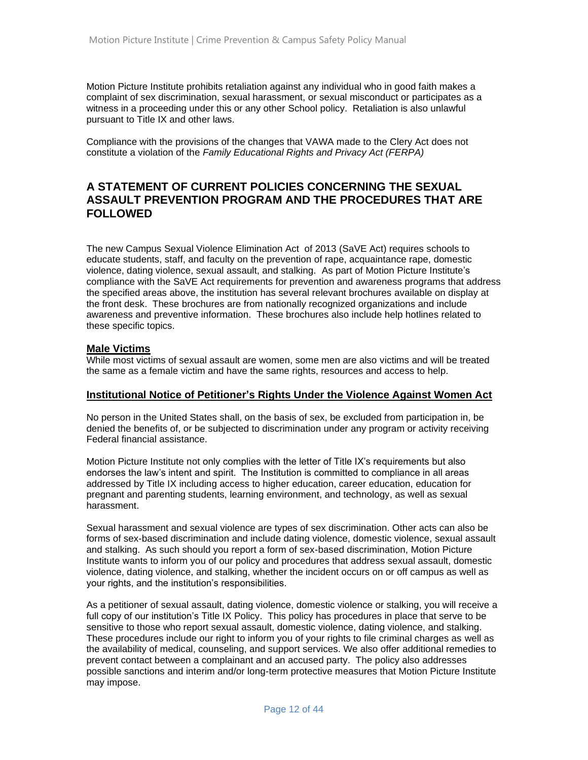Motion Picture Institute prohibits retaliation against any individual who in good faith makes a complaint of sex discrimination, sexual harassment, or sexual misconduct or participates as a witness in a proceeding under this or any other School policy. Retaliation is also unlawful pursuant to Title IX and other laws.

Compliance with the provisions of the changes that VAWA made to the Clery Act does not constitute a violation of the *Family Educational Rights and Privacy Act (FERPA)*

# **A STATEMENT OF CURRENT POLICIES CONCERNING THE SEXUAL ASSAULT PREVENTION PROGRAM AND THE PROCEDURES THAT ARE FOLLOWED**

The new Campus Sexual Violence Elimination Act of 2013 (SaVE Act) requires schools to educate students, staff, and faculty on the prevention of rape, acquaintance rape, domestic violence, dating violence, sexual assault, and stalking. As part of Motion Picture Institute's compliance with the SaVE Act requirements for prevention and awareness programs that address the specified areas above, the institution has several relevant brochures available on display at the front desk. These brochures are from nationally recognized organizations and include awareness and preventive information. These brochures also include help hotlines related to these specific topics.

#### **Male Victims**

While most victims of sexual assault are women, some men are also victims and will be treated the same as a female victim and have the same rights, resources and access to help.

#### **Institutional Notice of Petitioner's Rights Under the Violence Against Women Act**

No person in the United States shall, on the basis of sex, be excluded from participation in, be denied the benefits of, or be subjected to discrimination under any program or activity receiving Federal financial assistance.

Motion Picture Institute not only complies with the letter of Title IX's requirements but also endorses the law's intent and spirit. The Institution is committed to compliance in all areas addressed by Title IX including access to higher education, career education, education for pregnant and parenting students, learning environment, and technology, as well as sexual harassment.

Sexual harassment and sexual violence are types of sex discrimination. Other acts can also be forms of sex-based discrimination and include dating violence, domestic violence, sexual assault and stalking. As such should you report a form of sex-based discrimination, Motion Picture Institute wants to inform you of our policy and procedures that address sexual assault, domestic violence, dating violence, and stalking, whether the incident occurs on or off campus as well as your rights, and the institution's responsibilities.

As a petitioner of sexual assault, dating violence, domestic violence or stalking, you will receive a full copy of our institution's Title IX Policy. This policy has procedures in place that serve to be sensitive to those who report sexual assault, domestic violence, dating violence, and stalking. These procedures include our right to inform you of your rights to file criminal charges as well as the availability of medical, counseling, and support services. We also offer additional remedies to prevent contact between a complainant and an accused party. The policy also addresses possible sanctions and interim and/or long-term protective measures that Motion Picture Institute may impose.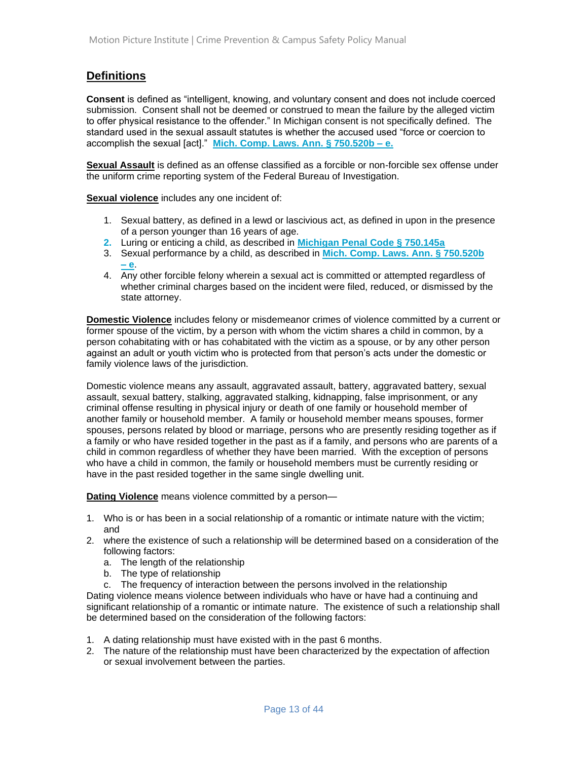# **Definitions**

**Consent** is defined as "intelligent, knowing, and voluntary consent and does not include coerced submission. Consent shall not be deemed or construed to mean the failure by the alleged victim to offer physical resistance to the offender." In Michigan consent is not specifically defined. The standard used in the sexual assault statutes is whether the accused used "force or coercion to accomplish the sexual [act]." **[Mich. Comp. Laws. Ann. § 750.520b –](http://www.legislature.mi.gov/(S(zv2gflny0jhm0f5zxcuwp5br))/mileg.aspx?page=GetObject&objectname=mcl-750-520b) e.**

**Sexual Assault** is defined as an offense classified as a forcible or non-forcible sex offense under the uniform crime reporting system of the Federal Bureau of Investigation.

**Sexual violence** includes any one incident of:

- 1. Sexual battery, as defined in a lewd or lascivious act, as defined in upon in the presence of a person younger than 16 years of age.
- **2.** Luring or enticing a child, as described in **[Michigan Penal Code § 750.145a](http://www.legislature.mi.gov/(S(4xb3hrzcnlz2phna2yxxaaj1))/mileg.aspx?page=getObject&objectName=mcl-750-145a)**
- 3. Sexual performance by a child, as described in **[Mich. Comp. Laws. Ann. § 750.520b](http://www.legislature.mi.gov/(S(shvmqbup1w1glscp01qxpe13))/mileg.aspx?page=GetObject&objectname=mcl-750-520b)  – [e](http://www.legislature.mi.gov/(S(shvmqbup1w1glscp01qxpe13))/mileg.aspx?page=GetObject&objectname=mcl-750-520b)**.
- 4. Any other forcible felony wherein a sexual act is committed or attempted regardless of whether criminal charges based on the incident were filed, reduced, or dismissed by the state attorney.

**Domestic Violence** includes felony or misdemeanor crimes of violence committed by a current or former spouse of the victim, by a person with whom the victim shares a child in common, by a person cohabitating with or has cohabitated with the victim as a spouse, or by any other person against an adult or youth victim who is protected from that person's acts under the domestic or family violence laws of the jurisdiction.

Domestic violence means any assault, aggravated assault, battery, aggravated battery, sexual assault, sexual battery, stalking, aggravated stalking, kidnapping, false imprisonment, or any criminal offense resulting in physical injury or death of one family or household member of another family or household member. A family or household member means spouses, former spouses, persons related by blood or marriage, persons who are presently residing together as if a family or who have resided together in the past as if a family, and persons who are parents of a child in common regardless of whether they have been married. With the exception of persons who have a child in common, the family or household members must be currently residing or have in the past resided together in the same single dwelling unit.

**Dating Violence** means violence committed by a person—

- 1. Who is or has been in a social relationship of a romantic or intimate nature with the victim; and
- 2. where the existence of such a relationship will be determined based on a consideration of the following factors:
	- a. The length of the relationship
	- b. The type of relationship
	- c. The frequency of interaction between the persons involved in the relationship

Dating violence means violence between individuals who have or have had a continuing and significant relationship of a romantic or intimate nature. The existence of such a relationship shall be determined based on the consideration of the following factors:

- 1. A dating relationship must have existed with in the past 6 months.
- 2. The nature of the relationship must have been characterized by the expectation of affection or sexual involvement between the parties.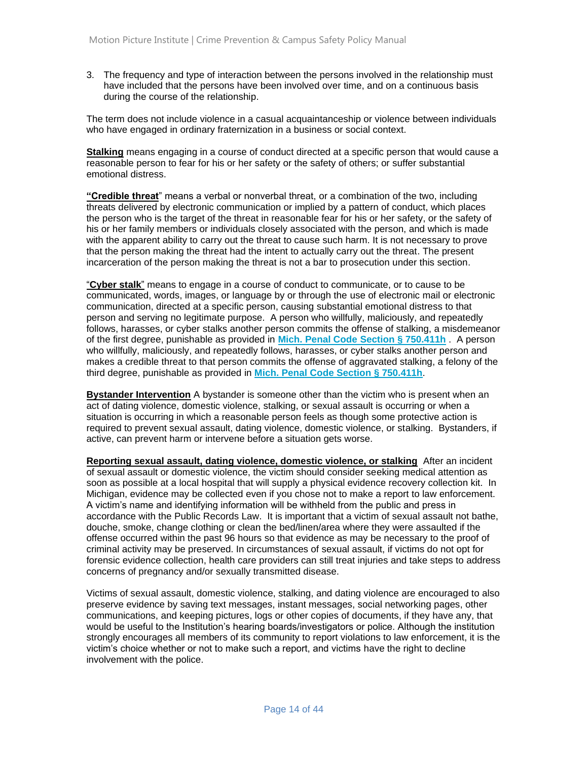3. The frequency and type of interaction between the persons involved in the relationship must have included that the persons have been involved over time, and on a continuous basis during the course of the relationship.

The term does not include violence in a casual acquaintanceship or violence between individuals who have engaged in ordinary fraternization in a business or social context.

**Stalking** means engaging in a course of conduct directed at a specific person that would cause a reasonable person to fear for his or her safety or the safety of others; or suffer substantial emotional distress.

**"Credible threat**" means a verbal or nonverbal threat, or a combination of the two, including threats delivered by electronic communication or implied by a pattern of conduct, which places the person who is the target of the threat in reasonable fear for his or her safety, or the safety of his or her family members or individuals closely associated with the person, and which is made with the apparent ability to carry out the threat to cause such harm. It is not necessary to prove that the person making the threat had the intent to actually carry out the threat. The present incarceration of the person making the threat is not a bar to prosecution under this section.

"**Cyber stalk**" means to engage in a course of conduct to communicate, or to cause to be communicated, words, images, or language by or through the use of electronic mail or electronic communication, directed at a specific person, causing substantial emotional distress to that person and serving no legitimate purpose. A person who willfully, maliciously, and repeatedly follows, harasses, or cyber stalks another person commits the offense of stalking, a misdemeanor of the first degree, punishable as provided in **[Mich. Penal Code Section § 750.411h](http://www.legislature.mi.gov/(S(kxb3tjebfyl4xxxqw3s2xxf5))/mileg.aspx?page=getObject&objectName=mcl-750-411h)** . A person who willfully, maliciously, and repeatedly follows, harasses, or cyber stalks another person and makes a credible threat to that person commits the offense of aggravated stalking, a felony of the third degree, punishable as provided in **[Mich. Penal Code Section](http://www.legislature.mi.gov/(S(kxb3tjebfyl4xxxqw3s2xxf5))/mileg.aspx?page=getObject&objectName=mcl-750-411h) § 750.411h**.

**Bystander Intervention** A bystander is someone other than the victim who is present when an act of dating violence, domestic violence, stalking, or sexual assault is occurring or when a situation is occurring in which a reasonable person feels as though some protective action is required to prevent sexual assault, dating violence, domestic violence, or stalking. Bystanders, if active, can prevent harm or intervene before a situation gets worse.

**Reporting sexual assault, dating violence, domestic violence, or stalking** After an incident of sexual assault or domestic violence, the victim should consider seeking medical attention as soon as possible at a local hospital that will supply a physical evidence recovery collection kit. In Michigan, evidence may be collected even if you chose not to make a report to law enforcement. A victim's name and identifying information will be withheld from the public and press in accordance with the Public Records Law. It is important that a victim of sexual assault not bathe, douche, smoke, change clothing or clean the bed/linen/area where they were assaulted if the offense occurred within the past 96 hours so that evidence as may be necessary to the proof of criminal activity may be preserved. In circumstances of sexual assault, if victims do not opt for forensic evidence collection, health care providers can still treat injuries and take steps to address concerns of pregnancy and/or sexually transmitted disease.

Victims of sexual assault, domestic violence, stalking, and dating violence are encouraged to also preserve evidence by saving text messages, instant messages, social networking pages, other communications, and keeping pictures, logs or other copies of documents, if they have any, that would be useful to the Institution's hearing boards/investigators or police. Although the institution strongly encourages all members of its community to report violations to law enforcement, it is the victim's choice whether or not to make such a report, and victims have the right to decline involvement with the police.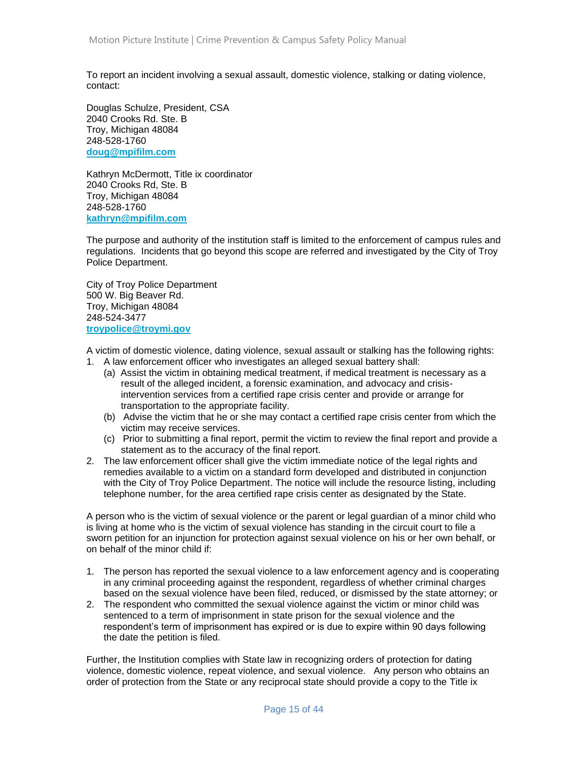To report an incident involving a sexual assault, domestic violence, stalking or dating violence, contact:

Douglas Schulze, President, CSA 2040 Crooks Rd. Ste. B Troy, Michigan 48084 248-528-1760 **[doug@mpifilm.com](mailto:doug@mpifilm.com)**

Kathryn McDermott, Title ix coordinator 2040 Crooks Rd, Ste. B Troy, Michigan 48084 248-528-1760 **[kathryn@mpifilm.com](mailto:kathryn@mpifilm.com)**

The purpose and authority of the institution staff is limited to the enforcement of campus rules and regulations. Incidents that go beyond this scope are referred and investigated by the City of Troy Police Department.

City of Troy Police Department 500 W. Big Beaver Rd. Troy, Michigan 48084 248-524-3477 **[troypolice@troymi.gov](mailto:troypolice@troymi.gov)**

A victim of domestic violence, dating violence, sexual assault or stalking has the following rights: 1. A law enforcement officer who investigates an alleged sexual battery shall:

- (a) Assist the victim in obtaining medical treatment, if medical treatment is necessary as a result of the alleged incident, a forensic examination, and advocacy and crisisintervention services from a certified rape crisis center and provide or arrange for transportation to the appropriate facility.
- (b) Advise the victim that he or she may contact a certified rape crisis center from which the victim may receive services.
- (c) Prior to submitting a final report, permit the victim to review the final report and provide a statement as to the accuracy of the final report.
- 2. The law enforcement officer shall give the victim immediate notice of the legal rights and remedies available to a victim on a standard form developed and distributed in conjunction with the City of Troy Police Department. The notice will include the resource listing, including telephone number, for the area certified rape crisis center as designated by the State.

A person who is the victim of sexual violence or the parent or legal guardian of a minor child who is living at home who is the victim of sexual violence has standing in the circuit court to file a sworn petition for an injunction for protection against sexual violence on his or her own behalf, or on behalf of the minor child if:

- 1. The person has reported the sexual violence to a law enforcement agency and is cooperating in any criminal proceeding against the respondent, regardless of whether criminal charges based on the sexual violence have been filed, reduced, or dismissed by the state attorney; or
- 2. The respondent who committed the sexual violence against the victim or minor child was sentenced to a term of imprisonment in state prison for the sexual violence and the respondent's term of imprisonment has expired or is due to expire within 90 days following the date the petition is filed.

Further, the Institution complies with State law in recognizing orders of protection for dating violence, domestic violence, repeat violence, and sexual violence. Any person who obtains an order of protection from the State or any reciprocal state should provide a copy to the Title ix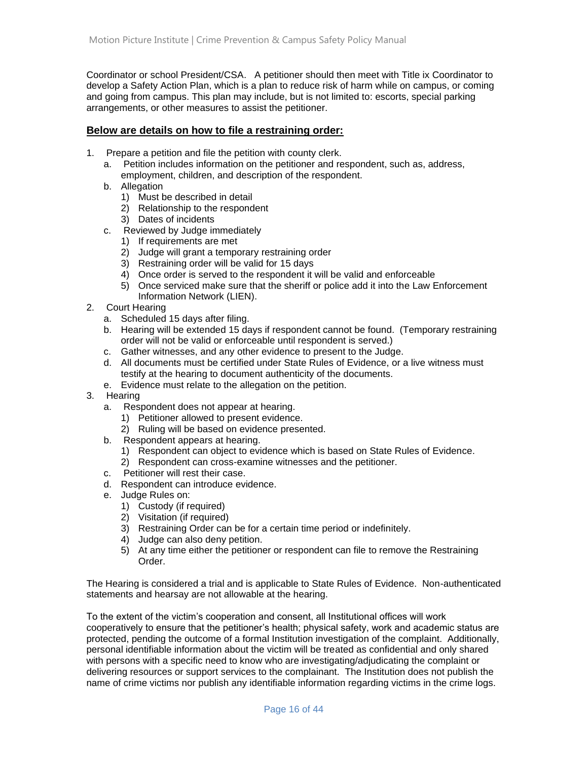Coordinator or school President/CSA. A petitioner should then meet with Title ix Coordinator to develop a Safety Action Plan, which is a plan to reduce risk of harm while on campus, or coming and going from campus. This plan may include, but is not limited to: escorts, special parking arrangements, or other measures to assist the petitioner.

#### **Below are details on how to file a restraining order:**

- 1. Prepare a petition and file the petition with county clerk.
	- a. Petition includes information on the petitioner and respondent, such as, address, employment, children, and description of the respondent.
	- b. Allegation
		- 1) Must be described in detail
		- 2) Relationship to the respondent
		- 3) Dates of incidents
	- c. Reviewed by Judge immediately
		- 1) If requirements are met
		- 2) Judge will grant a temporary restraining order
		- 3) Restraining order will be valid for 15 days
		- 4) Once order is served to the respondent it will be valid and enforceable
		- 5) Once serviced make sure that the sheriff or police add it into the Law Enforcement Information Network (LIEN).
- 2. Court Hearing
	- a. Scheduled 15 days after filing.
	- b. Hearing will be extended 15 days if respondent cannot be found. (Temporary restraining order will not be valid or enforceable until respondent is served.)
	- c. Gather witnesses, and any other evidence to present to the Judge.
	- d. All documents must be certified under State Rules of Evidence, or a live witness must testify at the hearing to document authenticity of the documents.
	- e. Evidence must relate to the allegation on the petition.
- 3. Hearing
	- a. Respondent does not appear at hearing.
		- 1) Petitioner allowed to present evidence.
		- 2) Ruling will be based on evidence presented.
	- b. Respondent appears at hearing.
		- 1) Respondent can object to evidence which is based on State Rules of Evidence.
		- 2) Respondent can cross-examine witnesses and the petitioner.
	- c. Petitioner will rest their case.
	- d. Respondent can introduce evidence.
	- e. Judge Rules on:
		- 1) Custody (if required)
		- 2) Visitation (if required)
		- 3) Restraining Order can be for a certain time period or indefinitely.
		- 4) Judge can also deny petition.
		- 5) At any time either the petitioner or respondent can file to remove the Restraining Order.

The Hearing is considered a trial and is applicable to State Rules of Evidence. Non-authenticated statements and hearsay are not allowable at the hearing.

To the extent of the victim's cooperation and consent, all Institutional offices will work cooperatively to ensure that the petitioner's health; physical safety, work and academic status are protected, pending the outcome of a formal Institution investigation of the complaint. Additionally, personal identifiable information about the victim will be treated as confidential and only shared with persons with a specific need to know who are investigating/adjudicating the complaint or delivering resources or support services to the complainant. The Institution does not publish the name of crime victims nor publish any identifiable information regarding victims in the crime logs.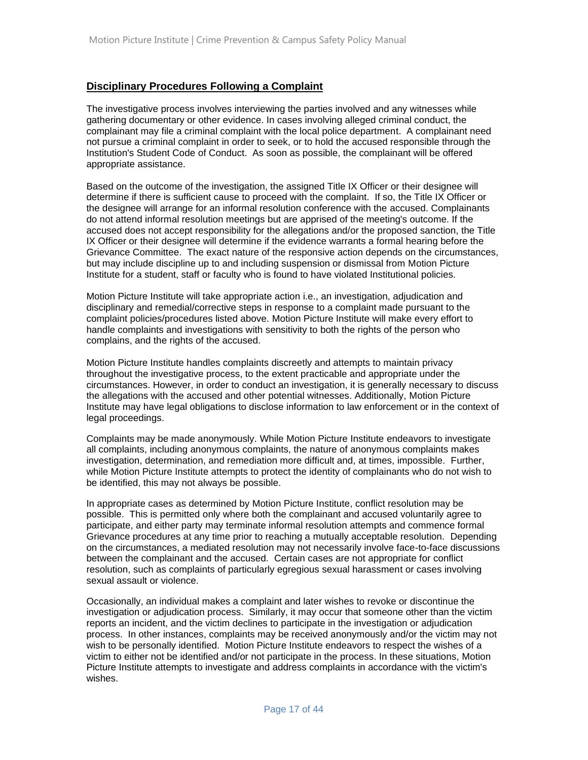#### **Disciplinary Procedures Following a Complaint**

The investigative process involves interviewing the parties involved and any witnesses while gathering documentary or other evidence. In cases involving alleged criminal conduct, the complainant may file a criminal complaint with the local police department. A complainant need not pursue a criminal complaint in order to seek, or to hold the accused responsible through the Institution's Student Code of Conduct. As soon as possible, the complainant will be offered appropriate assistance.

Based on the outcome of the investigation, the assigned Title IX Officer or their designee will determine if there is sufficient cause to proceed with the complaint. If so, the Title IX Officer or the designee will arrange for an informal resolution conference with the accused. Complainants do not attend informal resolution meetings but are apprised of the meeting's outcome. If the accused does not accept responsibility for the allegations and/or the proposed sanction, the Title IX Officer or their designee will determine if the evidence warrants a formal hearing before the Grievance Committee. The exact nature of the responsive action depends on the circumstances, but may include discipline up to and including suspension or dismissal from Motion Picture Institute for a student, staff or faculty who is found to have violated Institutional policies.

Motion Picture Institute will take appropriate action i.e., an investigation, adjudication and disciplinary and remedial/corrective steps in response to a complaint made pursuant to the complaint policies/procedures listed above. Motion Picture Institute will make every effort to handle complaints and investigations with sensitivity to both the rights of the person who complains, and the rights of the accused.

Motion Picture Institute handles complaints discreetly and attempts to maintain privacy throughout the investigative process, to the extent practicable and appropriate under the circumstances. However, in order to conduct an investigation, it is generally necessary to discuss the allegations with the accused and other potential witnesses. Additionally, Motion Picture Institute may have legal obligations to disclose information to law enforcement or in the context of legal proceedings.

Complaints may be made anonymously. While Motion Picture Institute endeavors to investigate all complaints, including anonymous complaints, the nature of anonymous complaints makes investigation, determination, and remediation more difficult and, at times, impossible. Further, while Motion Picture Institute attempts to protect the identity of complainants who do not wish to be identified, this may not always be possible.

In appropriate cases as determined by Motion Picture Institute, conflict resolution may be possible. This is permitted only where both the complainant and accused voluntarily agree to participate, and either party may terminate informal resolution attempts and commence formal Grievance procedures at any time prior to reaching a mutually acceptable resolution. Depending on the circumstances, a mediated resolution may not necessarily involve face-to-face discussions between the complainant and the accused. Certain cases are not appropriate for conflict resolution, such as complaints of particularly egregious sexual harassment or cases involving sexual assault or violence.

Occasionally, an individual makes a complaint and later wishes to revoke or discontinue the investigation or adjudication process. Similarly, it may occur that someone other than the victim reports an incident, and the victim declines to participate in the investigation or adjudication process. In other instances, complaints may be received anonymously and/or the victim may not wish to be personally identified. Motion Picture Institute endeavors to respect the wishes of a victim to either not be identified and/or not participate in the process. In these situations, Motion Picture Institute attempts to investigate and address complaints in accordance with the victim's wishes.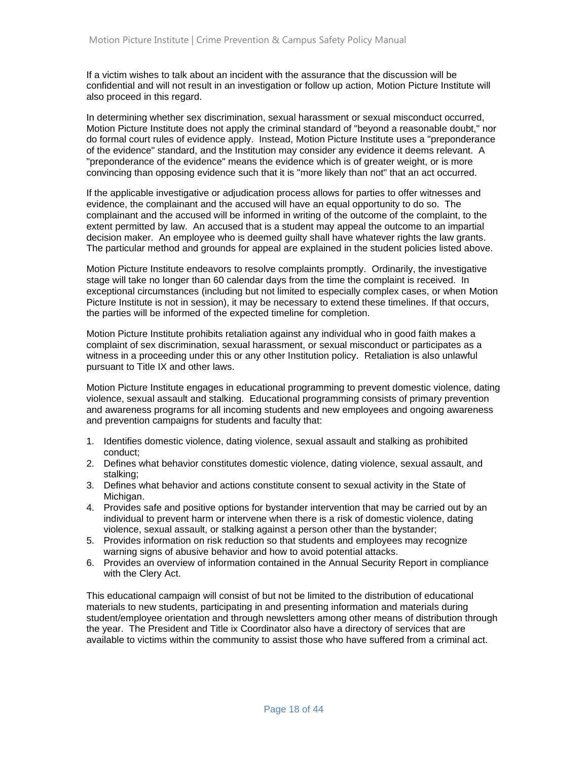If a victim wishes to talk about an incident with the assurance that the discussion will be confidential and will not result in an investigation or follow up action, Motion Picture Institute will also proceed in this regard.

In determining whether sex discrimination, sexual harassment or sexual misconduct occurred, Motion Picture Institute does not apply the criminal standard of "beyond a reasonable doubt," nor do formal court rules of evidence apply. Instead, Motion Picture Institute uses a "preponderance of the evidence" standard, and the Institution may consider any evidence it deems relevant. A "preponderance of the evidence" means the evidence which is of greater weight, or is more convincing than opposing evidence such that it is "more likely than not" that an act occurred.

If the applicable investigative or adjudication process allows for parties to offer witnesses and evidence, the complainant and the accused will have an equal opportunity to do so. The complainant and the accused will be informed in writing of the outcome of the complaint, to the extent permitted by law. An accused that is a student may appeal the outcome to an impartial decision maker. An employee who is deemed guilty shall have whatever rights the law grants. The particular method and grounds for appeal are explained in the student policies listed above.

Motion Picture Institute endeavors to resolve complaints promptly. Ordinarily, the investigative stage will take no longer than 60 calendar days from the time the complaint is received. In exceptional circumstances (including but not limited to especially complex cases, or when Motion Picture Institute is not in session), it may be necessary to extend these timelines. If that occurs, the parties will be informed of the expected timeline for completion.

Motion Picture Institute prohibits retaliation against any individual who in good faith makes a complaint of sex discrimination, sexual harassment, or sexual misconduct or participates as a witness in a proceeding under this or any other Institution policy. Retaliation is also unlawful pursuant to Title IX and other laws.

Motion Picture Institute engages in educational programming to prevent domestic violence, dating violence, sexual assault and stalking. Educational programming consists of primary prevention and awareness programs for all incoming students and new employees and ongoing awareness and prevention campaigns for students and faculty that:

- 1. Identifies domestic violence, dating violence, sexual assault and stalking as prohibited conduct;
- 2. Defines what behavior constitutes domestic violence, dating violence, sexual assault, and stalking;
- 3. Defines what behavior and actions constitute consent to sexual activity in the State of Michigan.
- 4. Provides safe and positive options for bystander intervention that may be carried out by an individual to prevent harm or intervene when there is a risk of domestic violence, dating violence, sexual assault, or stalking against a person other than the bystander;
- 5. Provides information on risk reduction so that students and employees may recognize warning signs of abusive behavior and how to avoid potential attacks.
- 6. Provides an overview of information contained in the Annual Security Report in compliance with the Clery Act.

This educational campaign will consist of but not be limited to the distribution of educational materials to new students, participating in and presenting information and materials during student/employee orientation and through newsletters among other means of distribution through the year. The President and Title ix Coordinator also have a directory of services that are available to victims within the community to assist those who have suffered from a criminal act.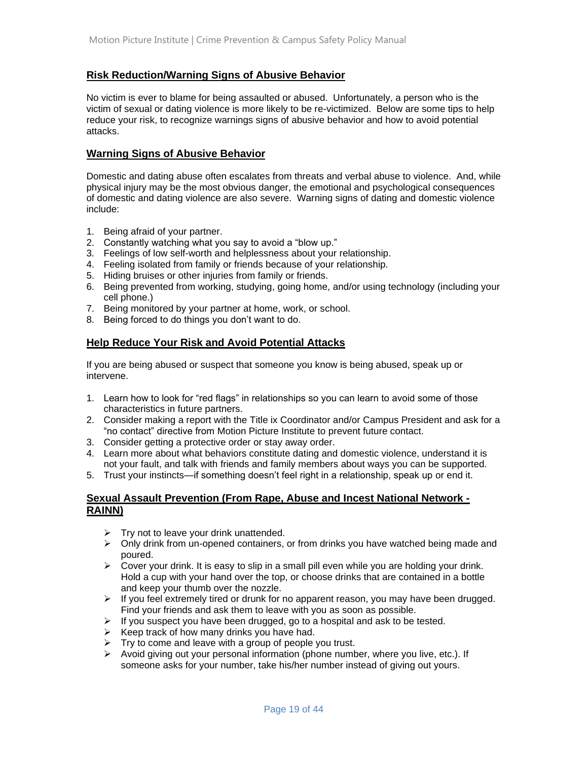#### **Risk Reduction/Warning Signs of Abusive Behavior**

No victim is ever to blame for being assaulted or abused. Unfortunately, a person who is the victim of sexual or dating violence is more likely to be re-victimized. Below are some tips to help reduce your risk, to recognize warnings signs of abusive behavior and how to avoid potential attacks.

#### **Warning Signs of Abusive Behavior**

Domestic and dating abuse often escalates from threats and verbal abuse to violence. And, while physical injury may be the most obvious danger, the emotional and psychological consequences of domestic and dating violence are also severe. Warning signs of dating and domestic violence include:

- 1. Being afraid of your partner.
- 2. Constantly watching what you say to avoid a "blow up."
- 3. Feelings of low self-worth and helplessness about your relationship.
- 4. Feeling isolated from family or friends because of your relationship.
- 5. Hiding bruises or other injuries from family or friends.
- 6. Being prevented from working, studying, going home, and/or using technology (including your cell phone.)
- 7. Being monitored by your partner at home, work, or school.
- 8. Being forced to do things you don't want to do.

#### **Help Reduce Your Risk and Avoid Potential Attacks**

If you are being abused or suspect that someone you know is being abused, speak up or intervene.

- 1. Learn how to look for "red flags" in relationships so you can learn to avoid some of those characteristics in future partners.
- 2. Consider making a report with the Title ix Coordinator and/or Campus President and ask for a "no contact" directive from Motion Picture Institute to prevent future contact.
- 3. Consider getting a protective order or stay away order.
- 4. Learn more about what behaviors constitute dating and domestic violence, understand it is not your fault, and talk with friends and family members about ways you can be supported.
- 5. Trust your instincts—if something doesn't feel right in a relationship, speak up or end it.

#### **Sexual Assault Prevention (From Rape, Abuse and Incest National Network - RAINN)**

- ➢ Try not to leave your drink unattended.
- ➢ Only drink from un-opened containers, or from drinks you have watched being made and poured.
- $\triangleright$  Cover your drink. It is easy to slip in a small pill even while you are holding your drink. Hold a cup with your hand over the top, or choose drinks that are contained in a bottle and keep your thumb over the nozzle.
- $\triangleright$  If you feel extremely tired or drunk for no apparent reason, you may have been drugged. Find your friends and ask them to leave with you as soon as possible.
- $\triangleright$  If you suspect you have been drugged, go to a hospital and ask to be tested.
- $\triangleright$  Keep track of how many drinks you have had.
- $\triangleright$  Try to come and leave with a group of people you trust.
- $\triangleright$  Avoid giving out your personal information (phone number, where you live, etc.). If someone asks for your number, take his/her number instead of giving out yours.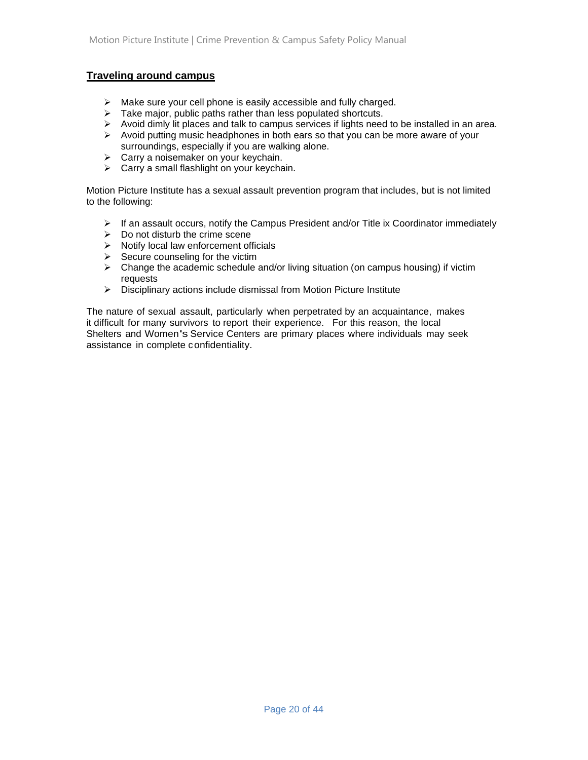#### **Traveling around campus**

- ➢ Make sure your cell phone is easily accessible and fully charged.
- $\triangleright$  Take major, public paths rather than less populated shortcuts.
- $\triangleright$  Avoid dimly lit places and talk to campus services if lights need to be installed in an area.
- $\triangleright$  Avoid putting music headphones in both ears so that you can be more aware of your surroundings, especially if you are walking alone.
- ➢ Carry a noisemaker on your keychain.
- ➢ Carry a small flashlight on your keychain.

Motion Picture Institute has a sexual assault prevention program that includes, but is not limited to the following:

- $\triangleright$  If an assault occurs, notify the Campus President and/or Title ix Coordinator immediately
- $\triangleright$  Do not disturb the crime scene
- ➢ Notify local law enforcement officials
- $\triangleright$  Secure counseling for the victim
- $\triangleright$  Change the academic schedule and/or living situation (on campus housing) if victim requests
- ➢ Disciplinary actions include dismissal from Motion Picture Institute

The nature of sexual assault, particularly when perpetrated by an acquaintance, makes it difficult for many survivors to report their experience. For this reason, the local Shelters and Women's Service Centers are primary places where individuals may seek assistance in complete confidentiality.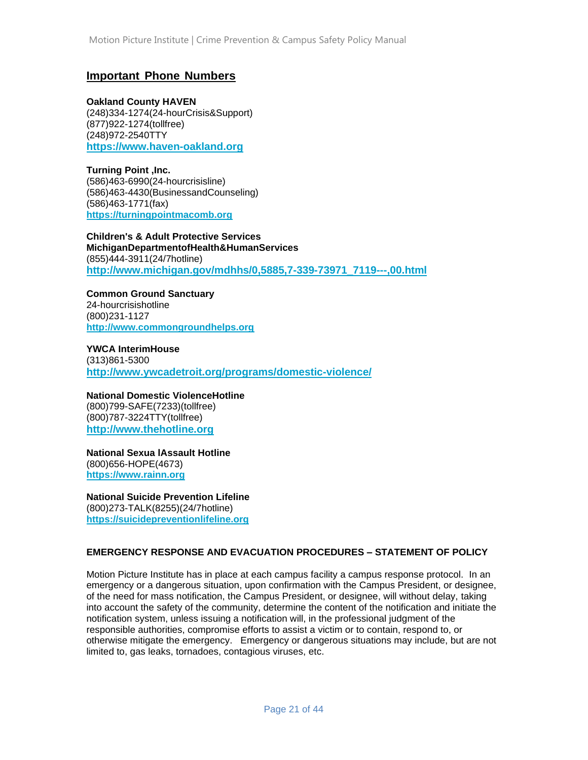### **Important Phone Numbers**

**Oakland County HAVEN**

(248)334-1274(24-hourCrisis&Support) (877)922-1274(tollfree) (248)972-2540TTY **[https://www.haven-oakland.org](https://www.haven-oakland.org/)**

**Turning Point ,Inc.** (586)463-6990(24-hourcrisisline) (586)463-4430(BusinessandCounseling) (586)463-1771(fax) **[https://turningpointmacomb.org](https://turningpointmacomb.org/)**

**Children's & Adult Protective Services MichiganDepartmentofHealth&HumanServices** (855)444-3911(24/7hotline) **[http://www.michigan.gov/mdhhs/0,5885,7-339-73971\\_7119---,00.html](http://www.michigan.gov/mdhhs/0,5885,7-339-73971_7119---,00.html)**

**Common Ground Sanctuary** 24-hourcrisishotline (800)231-1127 **[http://www.commongroundhelps.org](http://www.commongroundhelps.org/)**

**YWCA InterimHouse** (313)861-5300 **<http://www.ywcadetroit.org/programs/domestic-violence/>**

**National Domestic ViolenceHotline** (800)799-SAFE(7233)(tollfree) (800)787-3224TTY(tollfree) **[http://www.thehotline.org](http://www.thehotline.org/)**

**National Sexua lAssault Hotline** (800)656-HOPE(4673) **[https://www.rainn.org](https://www.rainn.org/)**

**National Suicide Prevention Lifeline** (800)273-TALK(8255)(24/7hotline) **[https://suicidepreventionlifeline.org](https://suicidepreventionlifeline.org/)**

#### **EMERGENCY RESPONSE AND EVACUATION PROCEDURES – STATEMENT OF POLICY**

Motion Picture Institute has in place at each campus facility a campus response protocol. In an emergency or a dangerous situation, upon confirmation with the Campus President, or designee, of the need for mass notification, the Campus President, or designee, will without delay, taking into account the safety of the community, determine the content of the notification and initiate the notification system, unless issuing a notification will, in the professional judgment of the responsible authorities, compromise efforts to assist a victim or to contain, respond to, or otherwise mitigate the emergency. Emergency or dangerous situations may include, but are not limited to, gas leaks, tornadoes, contagious viruses, etc.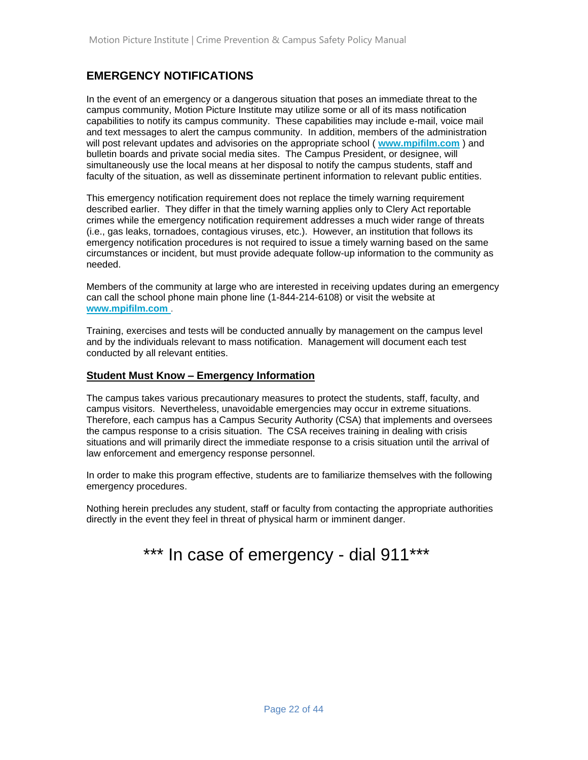# **EMERGENCY NOTIFICATIONS**

In the event of an emergency or a dangerous situation that poses an immediate threat to the campus community, Motion Picture Institute may utilize some or all of its mass notification capabilities to notify its campus community. These capabilities may include e-mail, voice mail and text messages to alert the campus community. In addition, members of the administration will post relevant updates and advisories on the appropriate school ( **[www.mpifilm.com](http://www.mpifilm.com/)** ) and bulletin boards and private social media sites. The Campus President, or designee, will simultaneously use the local means at her disposal to notify the campus students, staff and faculty of the situation, as well as disseminate pertinent information to relevant public entities.

This emergency notification requirement does not replace the timely warning requirement described earlier. They differ in that the timely warning applies only to Clery Act reportable crimes while the emergency notification requirement addresses a much wider range of threats (i.e., gas leaks, tornadoes, contagious viruses, etc.). However, an institution that follows its emergency notification procedures is not required to issue a timely warning based on the same circumstances or incident, but must provide adequate follow-up information to the community as needed.

Members of the community at large who are interested in receiving updates during an emergency can call the school phone main phone line (1-844-214-6108) or visit the website at **www.mpifilm.com** .

Training, exercises and tests will be conducted annually by management on the campus level and by the individuals relevant to mass notification. Management will document each test conducted by all relevant entities.

#### **Student Must Know – Emergency Information**

The campus takes various precautionary measures to protect the students, staff, faculty, and campus visitors. Nevertheless, unavoidable emergencies may occur in extreme situations. Therefore, each campus has a Campus Security Authority (CSA) that implements and oversees the campus response to a crisis situation. The CSA receives training in dealing with crisis situations and will primarily direct the immediate response to a crisis situation until the arrival of law enforcement and emergency response personnel.

In order to make this program effective, students are to familiarize themselves with the following emergency procedures.

Nothing herein precludes any student, staff or faculty from contacting the appropriate authorities directly in the event they feel in threat of physical harm or imminent danger.

# \*\*\* In case of emergency - dial 911\*\*\*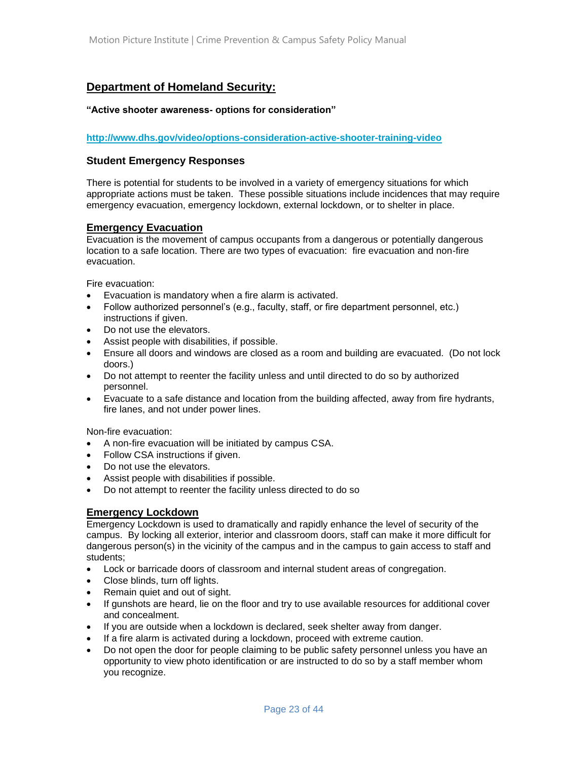# **Department of Homeland Security:**

#### **"Active shooter awareness- options for consideration"**

**<http://www.dhs.gov/video/options-consideration-active-shooter-training-video>**

#### **Student Emergency Responses**

There is potential for students to be involved in a variety of emergency situations for which appropriate actions must be taken. These possible situations include incidences that may require emergency evacuation, emergency lockdown, external lockdown, or to shelter in place.

#### **Emergency Evacuation**

Evacuation is the movement of campus occupants from a dangerous or potentially dangerous location to a safe location. There are two types of evacuation: fire evacuation and non-fire evacuation.

Fire evacuation:

- Evacuation is mandatory when a fire alarm is activated.
- Follow authorized personnel's (e.g., faculty, staff, or fire department personnel, etc.) instructions if given.
- Do not use the elevators.
- Assist people with disabilities, if possible.
- Ensure all doors and windows are closed as a room and building are evacuated. (Do not lock doors.)
- Do not attempt to reenter the facility unless and until directed to do so by authorized personnel.
- Evacuate to a safe distance and location from the building affected, away from fire hydrants, fire lanes, and not under power lines.

Non-fire evacuation:

- A non-fire evacuation will be initiated by campus CSA.
- Follow CSA instructions if given.
- Do not use the elevators.
- Assist people with disabilities if possible.
- Do not attempt to reenter the facility unless directed to do so

#### **Emergency Lockdown**

Emergency Lockdown is used to dramatically and rapidly enhance the level of security of the campus. By locking all exterior, interior and classroom doors, staff can make it more difficult for dangerous person(s) in the vicinity of the campus and in the campus to gain access to staff and students;

- Lock or barricade doors of classroom and internal student areas of congregation.
- Close blinds, turn off lights.
- Remain quiet and out of sight.
- If gunshots are heard, lie on the floor and try to use available resources for additional cover and concealment.
- If you are outside when a lockdown is declared, seek shelter away from danger.
- If a fire alarm is activated during a lockdown, proceed with extreme caution.
- Do not open the door for people claiming to be public safety personnel unless you have an opportunity to view photo identification or are instructed to do so by a staff member whom you recognize.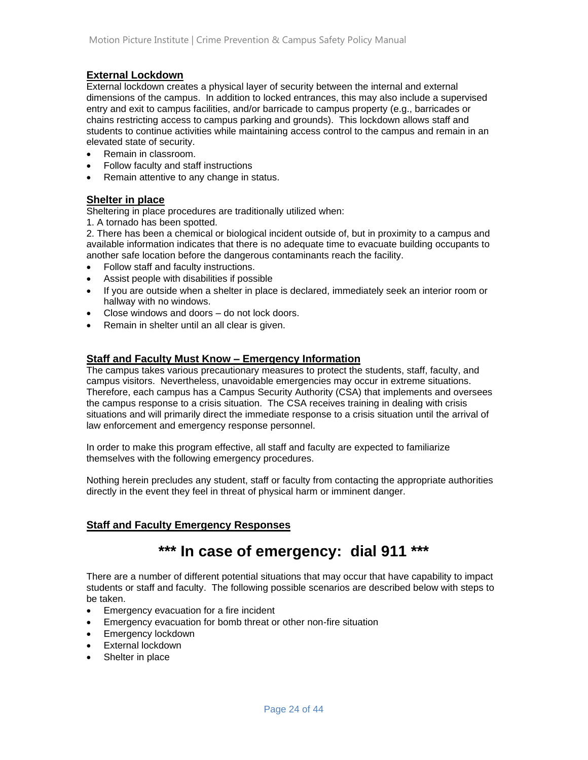#### **External Lockdown**

External lockdown creates a physical layer of security between the internal and external dimensions of the campus. In addition to locked entrances, this may also include a supervised entry and exit to campus facilities, and/or barricade to campus property (e.g., barricades or chains restricting access to campus parking and grounds). This lockdown allows staff and students to continue activities while maintaining access control to the campus and remain in an elevated state of security.

- Remain in classroom.
- Follow faculty and staff instructions
- Remain attentive to any change in status.

#### **Shelter in place**

Sheltering in place procedures are traditionally utilized when:

1. A tornado has been spotted.

2. There has been a chemical or biological incident outside of, but in proximity to a campus and available information indicates that there is no adequate time to evacuate building occupants to another safe location before the dangerous contaminants reach the facility.

- Follow staff and faculty instructions.
- Assist people with disabilities if possible
- If you are outside when a shelter in place is declared, immediately seek an interior room or hallway with no windows.
- Close windows and doors do not lock doors.
- Remain in shelter until an all clear is given.

#### **Staff and Faculty Must Know – Emergency Information**

The campus takes various precautionary measures to protect the students, staff, faculty, and campus visitors. Nevertheless, unavoidable emergencies may occur in extreme situations. Therefore, each campus has a Campus Security Authority (CSA) that implements and oversees the campus response to a crisis situation. The CSA receives training in dealing with crisis situations and will primarily direct the immediate response to a crisis situation until the arrival of law enforcement and emergency response personnel.

In order to make this program effective, all staff and faculty are expected to familiarize themselves with the following emergency procedures.

Nothing herein precludes any student, staff or faculty from contacting the appropriate authorities directly in the event they feel in threat of physical harm or imminent danger.

## **Staff and Faculty Emergency Responses**

# **\*\*\* In case of emergency: dial 911 \*\*\***

There are a number of different potential situations that may occur that have capability to impact students or staff and faculty. The following possible scenarios are described below with steps to be taken.

- Emergency evacuation for a fire incident
- Emergency evacuation for bomb threat or other non-fire situation
- Emergency lockdown
- External lockdown
- Shelter in place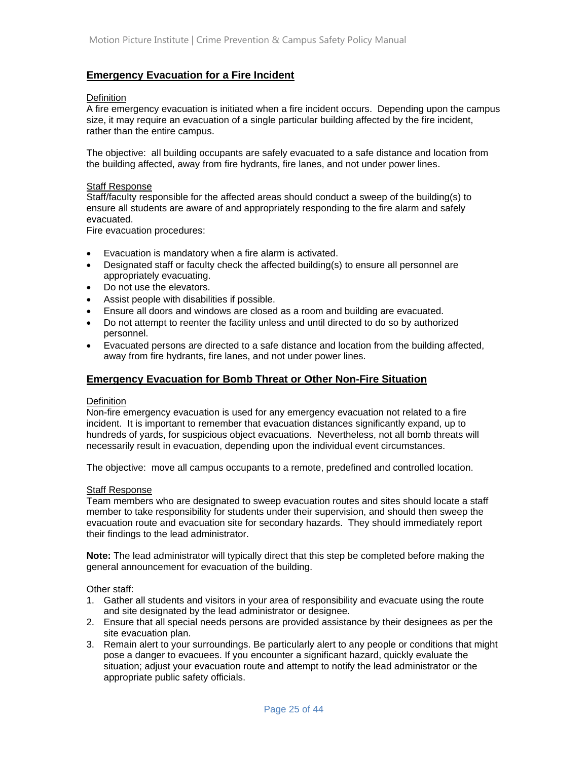#### **Emergency Evacuation for a Fire Incident**

#### **Definition**

A fire emergency evacuation is initiated when a fire incident occurs. Depending upon the campus size, it may require an evacuation of a single particular building affected by the fire incident, rather than the entire campus.

The objective: all building occupants are safely evacuated to a safe distance and location from the building affected, away from fire hydrants, fire lanes, and not under power lines.

#### Staff Response

Staff/faculty responsible for the affected areas should conduct a sweep of the building(s) to ensure all students are aware of and appropriately responding to the fire alarm and safely evacuated.

Fire evacuation procedures:

- Evacuation is mandatory when a fire alarm is activated.
- Designated staff or faculty check the affected building(s) to ensure all personnel are appropriately evacuating.
- Do not use the elevators.
- Assist people with disabilities if possible.
- Ensure all doors and windows are closed as a room and building are evacuated.
- Do not attempt to reenter the facility unless and until directed to do so by authorized personnel.
- Evacuated persons are directed to a safe distance and location from the building affected, away from fire hydrants, fire lanes, and not under power lines.

#### **Emergency Evacuation for Bomb Threat or Other Non-Fire Situation**

#### **Definition**

Non-fire emergency evacuation is used for any emergency evacuation not related to a fire incident. It is important to remember that evacuation distances significantly expand, up to hundreds of yards, for suspicious object evacuations. Nevertheless, not all bomb threats will necessarily result in evacuation, depending upon the individual event circumstances.

The objective: move all campus occupants to a remote, predefined and controlled location.

#### Staff Response

Team members who are designated to sweep evacuation routes and sites should locate a staff member to take responsibility for students under their supervision, and should then sweep the evacuation route and evacuation site for secondary hazards. They should immediately report their findings to the lead administrator.

**Note:** The lead administrator will typically direct that this step be completed before making the general announcement for evacuation of the building.

Other staff:

- 1. Gather all students and visitors in your area of responsibility and evacuate using the route and site designated by the lead administrator or designee.
- 2. Ensure that all special needs persons are provided assistance by their designees as per the site evacuation plan.
- 3. Remain alert to your surroundings. Be particularly alert to any people or conditions that might pose a danger to evacuees. If you encounter a significant hazard, quickly evaluate the situation; adjust your evacuation route and attempt to notify the lead administrator or the appropriate public safety officials.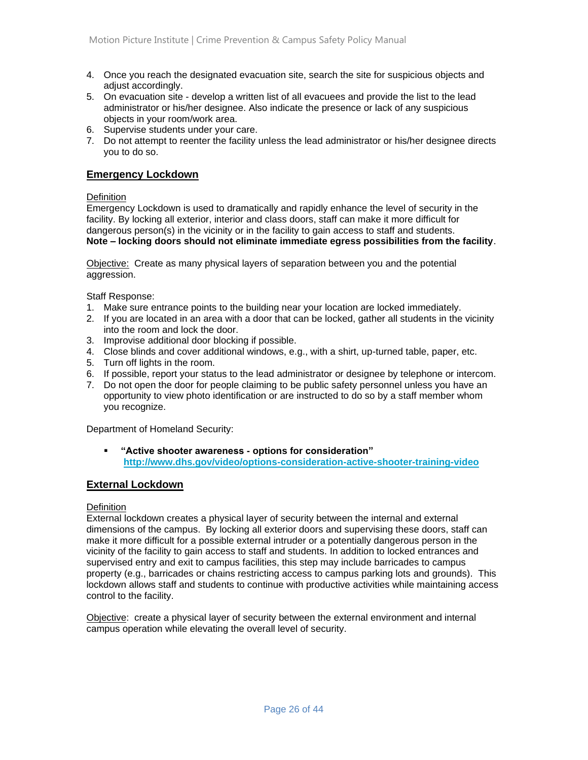- 4. Once you reach the designated evacuation site, search the site for suspicious objects and adiust accordingly.
- 5. On evacuation site develop a written list of all evacuees and provide the list to the lead administrator or his/her designee. Also indicate the presence or lack of any suspicious objects in your room/work area.
- 6. Supervise students under your care.
- 7. Do not attempt to reenter the facility unless the lead administrator or his/her designee directs you to do so.

#### **Emergency Lockdown**

#### **Definition**

Emergency Lockdown is used to dramatically and rapidly enhance the level of security in the facility. By locking all exterior, interior and class doors, staff can make it more difficult for dangerous person(s) in the vicinity or in the facility to gain access to staff and students. **Note – locking doors should not eliminate immediate egress possibilities from the facility**.

Objective: Create as many physical layers of separation between you and the potential aggression.

Staff Response:

- 1. Make sure entrance points to the building near your location are locked immediately.
- 2. If you are located in an area with a door that can be locked, gather all students in the vicinity into the room and lock the door.
- 3. Improvise additional door blocking if possible.
- 4. Close blinds and cover additional windows, e.g., with a shirt, up-turned table, paper, etc.
- 5. Turn off lights in the room.
- 6. If possible, report your status to the lead administrator or designee by telephone or intercom.
- 7. Do not open the door for people claiming to be public safety personnel unless you have an opportunity to view photo identification or are instructed to do so by a staff member whom you recognize.

Department of Homeland Security:

▪ **"Active shooter awareness - options for consideration" <http://www.dhs.gov/video/options-consideration-active-shooter-training-video>**

#### **External Lockdown**

#### Definition

External lockdown creates a physical layer of security between the internal and external dimensions of the campus. By locking all exterior doors and supervising these doors, staff can make it more difficult for a possible external intruder or a potentially dangerous person in the vicinity of the facility to gain access to staff and students. In addition to locked entrances and supervised entry and exit to campus facilities, this step may include barricades to campus property (e.g., barricades or chains restricting access to campus parking lots and grounds). This lockdown allows staff and students to continue with productive activities while maintaining access control to the facility.

Objective: create a physical layer of security between the external environment and internal campus operation while elevating the overall level of security.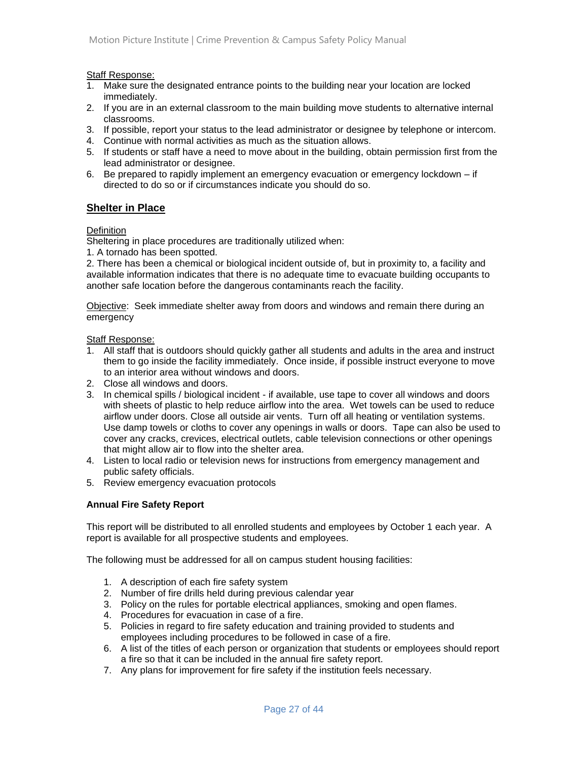Staff Response:

- 1. Make sure the designated entrance points to the building near your location are locked immediately.
- 2. If you are in an external classroom to the main building move students to alternative internal classrooms.
- 3. If possible, report your status to the lead administrator or designee by telephone or intercom.
- 4. Continue with normal activities as much as the situation allows.
- 5. If students or staff have a need to move about in the building, obtain permission first from the lead administrator or designee.
- 6. Be prepared to rapidly implement an emergency evacuation or emergency lockdown if directed to do so or if circumstances indicate you should do so.

#### **Shelter in Place**

#### **Definition**

Sheltering in place procedures are traditionally utilized when:

1. A tornado has been spotted.

2. There has been a chemical or biological incident outside of, but in proximity to, a facility and available information indicates that there is no adequate time to evacuate building occupants to another safe location before the dangerous contaminants reach the facility.

Objective: Seek immediate shelter away from doors and windows and remain there during an emergency

#### Staff Response:

- 1. All staff that is outdoors should quickly gather all students and adults in the area and instruct them to go inside the facility immediately. Once inside, if possible instruct everyone to move to an interior area without windows and doors.
- 2. Close all windows and doors.
- 3. In chemical spills / biological incident if available, use tape to cover all windows and doors with sheets of plastic to help reduce airflow into the area. Wet towels can be used to reduce airflow under doors. Close all outside air vents. Turn off all heating or ventilation systems. Use damp towels or cloths to cover any openings in walls or doors. Tape can also be used to cover any cracks, crevices, electrical outlets, cable television connections or other openings that might allow air to flow into the shelter area.
- 4. Listen to local radio or television news for instructions from emergency management and public safety officials.
- 5. Review emergency evacuation protocols

#### **Annual Fire Safety Report**

This report will be distributed to all enrolled students and employees by October 1 each year. A report is available for all prospective students and employees.

The following must be addressed for all on campus student housing facilities:

- 1. A description of each fire safety system
- 2. Number of fire drills held during previous calendar year
- 3. Policy on the rules for portable electrical appliances, smoking and open flames.
- 4. Procedures for evacuation in case of a fire.
- 5. Policies in regard to fire safety education and training provided to students and employees including procedures to be followed in case of a fire.
- 6. A list of the titles of each person or organization that students or employees should report a fire so that it can be included in the annual fire safety report.
- 7. Any plans for improvement for fire safety if the institution feels necessary.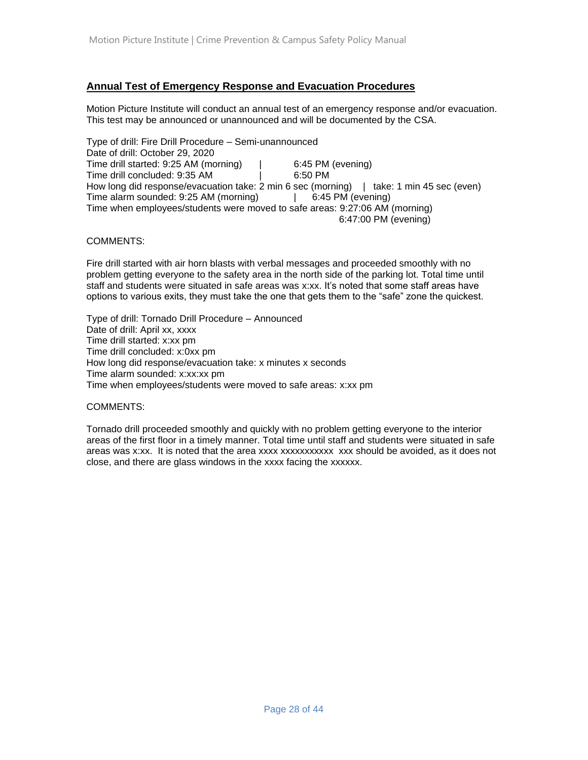#### **Annual Test of Emergency Response and Evacuation Procedures**

Motion Picture Institute will conduct an annual test of an emergency response and/or evacuation. This test may be announced or unannounced and will be documented by the CSA.

Type of drill: Fire Drill Procedure – Semi-unannounced Date of drill: October 29, 2020 Time drill started: 9:25 AM (morning) | 6:45 PM (evening) Time drill concluded: 9:35 AM | 6:50 PM How long did response/evacuation take: 2 min 6 sec (morning) | take: 1 min 45 sec (even) Time alarm sounded: 9:25 AM (morning) | 6:45 PM (evening) Time when employees/students were moved to safe areas: 9:27:06 AM (morning) 6:47:00 PM (evening)

#### COMMENTS:

Fire drill started with air horn blasts with verbal messages and proceeded smoothly with no problem getting everyone to the safety area in the north side of the parking lot. Total time until staff and students were situated in safe areas was x:xx. It's noted that some staff areas have options to various exits, they must take the one that gets them to the "safe" zone the quickest.

Type of drill: Tornado Drill Procedure – Announced Date of drill: April xx, xxxx Time drill started: x:xx pm Time drill concluded: x:0xx pm How long did response/evacuation take: x minutes x seconds Time alarm sounded: x:xx:xx pm Time when employees/students were moved to safe areas: x:xx pm

#### COMMENTS:

Tornado drill proceeded smoothly and quickly with no problem getting everyone to the interior areas of the first floor in a timely manner. Total time until staff and students were situated in safe areas was x:xx. It is noted that the area xxxx xxxxxxxxxxx xxx should be avoided, as it does not close, and there are glass windows in the xxxx facing the xxxxxx.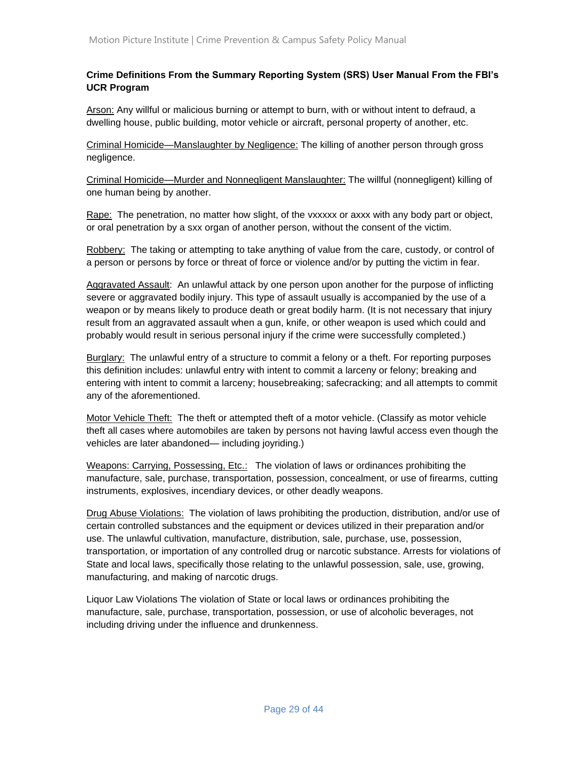#### **Crime Definitions From the Summary Reporting System (SRS) User Manual From the FBI's UCR Program**

Arson: Any willful or malicious burning or attempt to burn, with or without intent to defraud, a dwelling house, public building, motor vehicle or aircraft, personal property of another, etc.

Criminal Homicide—Manslaughter by Negligence: The killing of another person through gross negligence.

Criminal Homicide—Murder and Nonnegligent Manslaughter: The willful (nonnegligent) killing of one human being by another.

Rape: The penetration, no matter how slight, of the vxxxxx or axxx with any body part or object, or oral penetration by a sxx organ of another person, without the consent of the victim.

Robbery: The taking or attempting to take anything of value from the care, custody, or control of a person or persons by force or threat of force or violence and/or by putting the victim in fear.

Aggravated Assault: An unlawful attack by one person upon another for the purpose of inflicting severe or aggravated bodily injury. This type of assault usually is accompanied by the use of a weapon or by means likely to produce death or great bodily harm. (It is not necessary that injury result from an aggravated assault when a gun, knife, or other weapon is used which could and probably would result in serious personal injury if the crime were successfully completed.)

Burglary: The unlawful entry of a structure to commit a felony or a theft. For reporting purposes this definition includes: unlawful entry with intent to commit a larceny or felony; breaking and entering with intent to commit a larceny; housebreaking; safecracking; and all attempts to commit any of the aforementioned.

Motor Vehicle Theft: The theft or attempted theft of a motor vehicle. (Classify as motor vehicle theft all cases where automobiles are taken by persons not having lawful access even though the vehicles are later abandoned— including joyriding.)

Weapons: Carrying, Possessing, Etc.: The violation of laws or ordinances prohibiting the manufacture, sale, purchase, transportation, possession, concealment, or use of firearms, cutting instruments, explosives, incendiary devices, or other deadly weapons.

Drug Abuse Violations: The violation of laws prohibiting the production, distribution, and/or use of certain controlled substances and the equipment or devices utilized in their preparation and/or use. The unlawful cultivation, manufacture, distribution, sale, purchase, use, possession, transportation, or importation of any controlled drug or narcotic substance. Arrests for violations of State and local laws, specifically those relating to the unlawful possession, sale, use, growing, manufacturing, and making of narcotic drugs.

Liquor Law Violations The violation of State or local laws or ordinances prohibiting the manufacture, sale, purchase, transportation, possession, or use of alcoholic beverages, not including driving under the influence and drunkenness.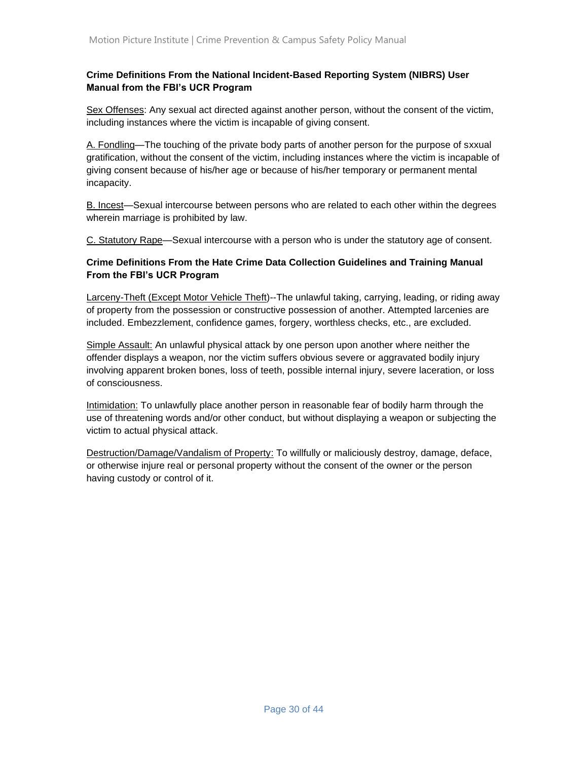#### **Crime Definitions From the National Incident-Based Reporting System (NIBRS) User Manual from the FBI's UCR Program**

Sex Offenses: Any sexual act directed against another person, without the consent of the victim, including instances where the victim is incapable of giving consent.

A. Fondling—The touching of the private body parts of another person for the purpose of sxxual gratification, without the consent of the victim, including instances where the victim is incapable of giving consent because of his/her age or because of his/her temporary or permanent mental incapacity.

B. Incest—Sexual intercourse between persons who are related to each other within the degrees wherein marriage is prohibited by law.

C. Statutory Rape—Sexual intercourse with a person who is under the statutory age of consent.

#### **Crime Definitions From the Hate Crime Data Collection Guidelines and Training Manual From the FBI's UCR Program**

Larceny-Theft (Except Motor Vehicle Theft)--The unlawful taking, carrying, leading, or riding away of property from the possession or constructive possession of another. Attempted larcenies are included. Embezzlement, confidence games, forgery, worthless checks, etc., are excluded.

Simple Assault: An unlawful physical attack by one person upon another where neither the offender displays a weapon, nor the victim suffers obvious severe or aggravated bodily injury involving apparent broken bones, loss of teeth, possible internal injury, severe laceration, or loss of consciousness.

Intimidation: To unlawfully place another person in reasonable fear of bodily harm through the use of threatening words and/or other conduct, but without displaying a weapon or subjecting the victim to actual physical attack.

Destruction/Damage/Vandalism of Property: To willfully or maliciously destroy, damage, deface, or otherwise injure real or personal property without the consent of the owner or the person having custody or control of it.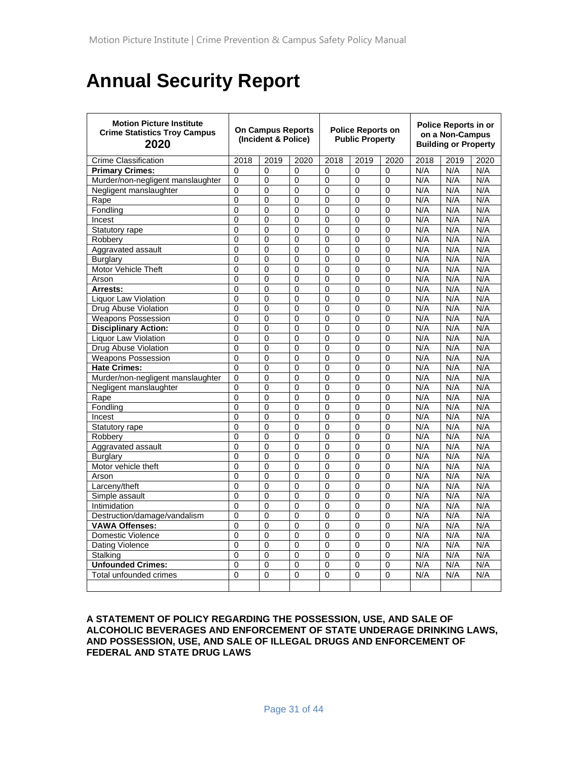# **Annual Security Report**

| <b>Motion Picture Institute</b><br><b>Crime Statistics Troy Campus</b><br>2020 | <b>On Campus Reports</b><br>(Incident & Police) |                |                | <b>Police Reports on</b><br><b>Public Property</b> |                |              | <b>Police Reports in or</b><br>on a Non-Campus<br><b>Building or Property</b> |      |      |
|--------------------------------------------------------------------------------|-------------------------------------------------|----------------|----------------|----------------------------------------------------|----------------|--------------|-------------------------------------------------------------------------------|------|------|
| <b>Crime Classification</b>                                                    | 2018                                            | 2019           | 2020           | 2018                                               | 2019           | 2020         | 2018                                                                          | 2019 | 2020 |
| <b>Primary Crimes:</b>                                                         | $\Omega$                                        | 0              | $\Omega$       | $\Omega$                                           | $\Omega$       | $\Omega$     | N/A                                                                           | N/A  | N/A  |
| Murder/non-negligent manslaughter                                              | 0                                               | 0              | 0              | $\Omega$                                           | $\Omega$       | $\Omega$     | N/A                                                                           | N/A  | N/A  |
| Negligent manslaughter                                                         | 0                                               | 0              | 0              | 0                                                  | 0              | 0            | N/A                                                                           | N/A  | N/A  |
| Rape                                                                           | $\Omega$                                        | 0              | 0              | 0                                                  | $\mathbf{0}$   | $\Omega$     | N/A                                                                           | N/A  | N/A  |
| Fondling                                                                       | $\overline{0}$                                  | $\overline{0}$ | $\overline{0}$ | $\overline{0}$                                     | $\Omega$       | 0            | N/A                                                                           | N/A  | N/A  |
| Incest                                                                         | 0                                               | 0              | $\mathbf 0$    | $\mathbf 0$                                        | $\mathbf 0$    | 0            | N/A                                                                           | N/A  | N/A  |
| Statutory rape                                                                 | $\overline{0}$                                  | $\Omega$       | $\overline{0}$ | $\overline{0}$                                     | $\Omega$       | $\mathbf{0}$ | N/A                                                                           | N/A  | N/A  |
| Robbery                                                                        | $\Omega$                                        | $\mathbf{0}$   | $\Omega$       | $\mathbf{0}$                                       | $\mathbf{0}$   | $\mathbf{0}$ | N/A                                                                           | N/A  | N/A  |
| Aggravated assault                                                             | $\overline{0}$                                  | 0              | $\overline{0}$ | 0                                                  | $\mathbf 0$    | $\mathbf 0$  | N/A                                                                           | N/A  | N/A  |
| <b>Burglary</b>                                                                | $\mathbf 0$                                     | 0              | 0              | 0                                                  | 0              | 0            | N/A                                                                           | N/A  | N/A  |
| <b>Motor Vehicle Theft</b>                                                     | $\overline{0}$                                  | $\overline{0}$ | $\overline{0}$ | $\Omega$                                           | $\overline{0}$ | $\Omega$     | N/A                                                                           | N/A  | N/A  |
| Arson                                                                          | $\Omega$                                        | $\Omega$       | $\overline{0}$ | $\Omega$                                           | $\Omega$       | $\mathbf{0}$ | N/A                                                                           | N/A  | N/A  |
| Arrests:                                                                       | $\Omega$                                        | $\Omega$       | $\overline{0}$ | $\Omega$                                           | $\mathbf{0}$   | $\mathbf{0}$ | N/A                                                                           | N/A  | N/A  |
| <b>Liquor Law Violation</b>                                                    | $\Omega$                                        | $\Omega$       | $\Omega$       | $\mathbf{0}$                                       | $\Omega$       | $\mathbf{0}$ | N/A                                                                           | N/A  | N/A  |
| Drug Abuse Violation                                                           | $\mathbf{0}$                                    | $\Omega$       | $\Omega$       | $\mathbf{0}$                                       | $\mathbf{0}$   | $\mathbf{0}$ | N/A                                                                           | N/A  | N/A  |
| <b>Weapons Possession</b>                                                      | 0                                               | $\Omega$       | $\mathbf 0$    | $\Omega$                                           | $\Omega$       | $\mathbf 0$  | N/A                                                                           | N/A  | N/A  |
| <b>Disciplinary Action:</b>                                                    | $\overline{0}$                                  | $\overline{0}$ | 0              | $\Omega$                                           | $\Omega$       | 0            | N/A                                                                           | N/A  | N/A  |
| Liquor Law Violation                                                           | 0                                               | $\Omega$       | 0              | $\Omega$                                           | $\Omega$       | $\Omega$     | N/A                                                                           | N/A  | N/A  |
| Drug Abuse Violation                                                           | $\overline{0}$                                  | 0              | 0              | 0                                                  | $\overline{0}$ | $\mathbf 0$  | N/A                                                                           | N/A  | N/A  |
| <b>Weapons Possession</b>                                                      | 0                                               | $\Omega$       | 0              | 0                                                  | $\Omega$       | $\Omega$     | N/A                                                                           | N/A  | N/A  |
| <b>Hate Crimes:</b>                                                            | 0                                               | 0              | 0              | 0                                                  | 0              | 0            | N/A                                                                           | N/A  | N/A  |
| Murder/non-negligent manslaughter                                              | 0                                               | $\Omega$       | $\Omega$       | $\Omega$                                           | $\mathbf{0}$   | $\mathbf{0}$ | N/A                                                                           | N/A  | N/A  |
| Negligent manslaughter                                                         | $\mathbf{0}$                                    | 0              | $\Omega$       | $\mathbf{0}$                                       | $\mathbf{0}$   | $\Omega$     | N/A                                                                           | N/A  | N/A  |
| Rape                                                                           | $\Omega$                                        | $\overline{0}$ | $\Omega$       | $\Omega$                                           | $\Omega$       | $\Omega$     | N/A                                                                           | N/A  | N/A  |
| Fondlina                                                                       | $\Omega$                                        | $\overline{0}$ | $\overline{0}$ | $\mathbf{0}$                                       | $\overline{0}$ | $\mathbf{0}$ | N/A                                                                           | N/A  | N/A  |
| Incest                                                                         | $\Omega$                                        | $\overline{0}$ | $\overline{0}$ | $\Omega$                                           | $\Omega$       | $\mathbf{0}$ | N/A                                                                           | N/A  | N/A  |
| Statutory rape                                                                 | $\overline{0}$                                  | 0              | $\mathbf 0$    | $\mathbf 0$                                        | $\mathbf 0$    | $\mathbf{0}$ | N/A                                                                           | N/A  | N/A  |
| Robbery                                                                        | 0                                               | 0              | $\mathbf 0$    | 0                                                  | $\Omega$       | $\Omega$     | N/A                                                                           | N/A  | N/A  |
| Aggravated assault                                                             | $\Omega$                                        | $\Omega$       | $\Omega$       | $\Omega$                                           | $\Omega$       | $\Omega$     | N/A                                                                           | N/A  | N/A  |
| Burglary                                                                       | $\Omega$                                        | 0              | $\Omega$       | $\Omega$                                           | $\Omega$       | $\Omega$     | N/A                                                                           | N/A  | N/A  |
| Motor vehicle theft                                                            | $\overline{0}$                                  | $\overline{0}$ | $\overline{0}$ | $\Omega$                                           | $\Omega$       | $\Omega$     | N/A                                                                           | N/A  | N/A  |
| Arson                                                                          | $\Omega$                                        | $\overline{0}$ | 0              | $\Omega$                                           | $\Omega$       | $\mathbf 0$  | N/A                                                                           | N/A  | N/A  |
| Larceny/theft                                                                  | 0                                               | $\overline{0}$ | 0              | $\overline{0}$                                     | $\overline{0}$ | $\Omega$     | N/A                                                                           | N/A  | N/A  |
| Simple assault                                                                 | 0                                               | 0              | 0              | 0                                                  | 0              | 0            | N/A                                                                           | N/A  | N/A  |
| Intimidation                                                                   | 0                                               | 0              | $\mathbf 0$    | 0                                                  | $\mathbf 0$    | 0            | N/A                                                                           | N/A  | N/A  |
| Destruction/damage/vandalism                                                   | 0                                               | 0              | $\Omega$       | $\Omega$                                           | $\Omega$       | $\Omega$     | N/A                                                                           | N/A  | N/A  |
| VAWA Offenses:                                                                 | $\overline{0}$                                  | $\Omega$       | $\Omega$       | $\Omega$                                           | $\Omega$       | $\Omega$     | N/A                                                                           | N/A  | N/A  |
| Domestic Violence                                                              | $\overline{0}$                                  | 0              | $\mathbf 0$    | $\Omega$                                           | $\overline{0}$ | $\Omega$     | N/A                                                                           | N/A  | N/A  |
| Dating Violence                                                                | $\overline{0}$                                  | $\overline{0}$ | $\Omega$       | $\Omega$                                           | $\Omega$       | $\Omega$     | N/A                                                                           | N/A  | N/A  |
| <b>Stalking</b>                                                                | $\overline{0}$                                  | $\overline{0}$ | $\mathbf 0$    | $\overline{0}$                                     | $\overline{0}$ | 0            | N/A                                                                           | N/A  | N/A  |
| <b>Unfounded Crimes:</b>                                                       | $\overline{0}$                                  | $\overline{0}$ | $\overline{0}$ | 0                                                  | $\overline{0}$ | $\mathbf 0$  | N/A                                                                           | N/A  | N/A  |
| Total unfounded crimes                                                         | $\Omega$                                        | 0              | 0              | 0                                                  | $\mathbf 0$    | 0            | N/A                                                                           | N/A  | N/A  |
|                                                                                |                                                 |                |                |                                                    |                |              |                                                                               |      |      |

**A STATEMENT OF POLICY REGARDING THE POSSESSION, USE, AND SALE OF ALCOHOLIC BEVERAGES AND ENFORCEMENT OF STATE UNDERAGE DRINKING LAWS, AND POSSESSION, USE, AND SALE OF ILLEGAL DRUGS AND ENFORCEMENT OF FEDERAL AND STATE DRUG LAWS**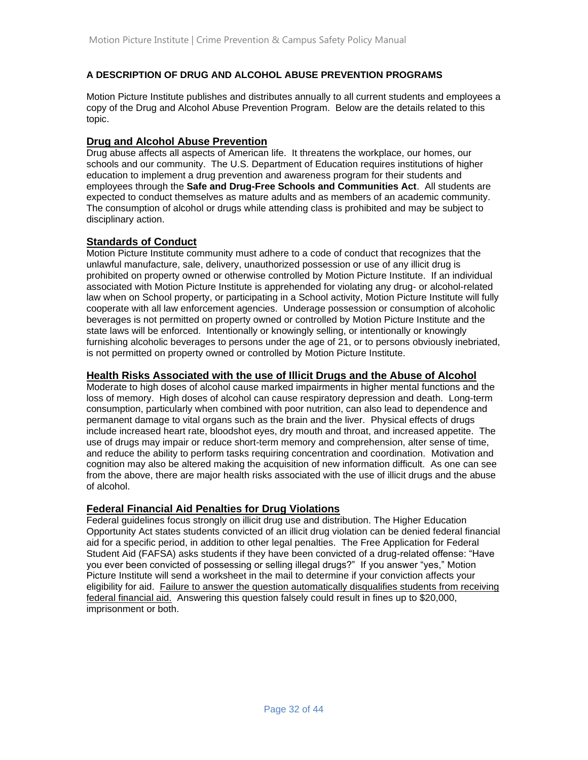#### **A DESCRIPTION OF DRUG AND ALCOHOL ABUSE PREVENTION PROGRAMS**

Motion Picture Institute publishes and distributes annually to all current students and employees a copy of the Drug and Alcohol Abuse Prevention Program. Below are the details related to this topic.

#### **Drug and Alcohol Abuse Prevention**

Drug abuse affects all aspects of American life. It threatens the workplace, our homes, our schools and our community. The U.S. Department of Education requires institutions of higher education to implement a drug prevention and awareness program for their students and employees through the **Safe and Drug-Free Schools and Communities Act**. All students are expected to conduct themselves as mature adults and as members of an academic community. The consumption of alcohol or drugs while attending class is prohibited and may be subject to disciplinary action.

#### **Standards of Conduct**

Motion Picture Institute community must adhere to a code of conduct that recognizes that the unlawful manufacture, sale, delivery, unauthorized possession or use of any illicit drug is prohibited on property owned or otherwise controlled by Motion Picture Institute. If an individual associated with Motion Picture Institute is apprehended for violating any drug- or alcohol-related law when on School property, or participating in a School activity, Motion Picture Institute will fully cooperate with all law enforcement agencies. Underage possession or consumption of alcoholic beverages is not permitted on property owned or controlled by Motion Picture Institute and the state laws will be enforced. Intentionally or knowingly selling, or intentionally or knowingly furnishing alcoholic beverages to persons under the age of 21, or to persons obviously inebriated, is not permitted on property owned or controlled by Motion Picture Institute.

#### **Health Risks Associated with the use of Illicit Drugs and the Abuse of Alcohol**

Moderate to high doses of alcohol cause marked impairments in higher mental functions and the loss of memory. High doses of alcohol can cause respiratory depression and death. Long-term consumption, particularly when combined with poor nutrition, can also lead to dependence and permanent damage to vital organs such as the brain and the liver. Physical effects of drugs include increased heart rate, bloodshot eyes, dry mouth and throat, and increased appetite. The use of drugs may impair or reduce short-term memory and comprehension, alter sense of time, and reduce the ability to perform tasks requiring concentration and coordination. Motivation and cognition may also be altered making the acquisition of new information difficult. As one can see from the above, there are major health risks associated with the use of illicit drugs and the abuse of alcohol.

#### **Federal Financial Aid Penalties for Drug Violations**

Federal guidelines focus strongly on illicit drug use and distribution. The Higher Education Opportunity Act states students convicted of an illicit drug violation can be denied federal financial aid for a specific period, in addition to other legal penalties. The Free Application for Federal Student Aid (FAFSA) asks students if they have been convicted of a drug-related offense: "Have you ever been convicted of possessing or selling illegal drugs?" If you answer "yes," Motion Picture Institute will send a worksheet in the mail to determine if your conviction affects your eligibility for aid. Failure to answer the question automatically disqualifies students from receiving federal financial aid. Answering this question falsely could result in fines up to \$20,000, imprisonment or both.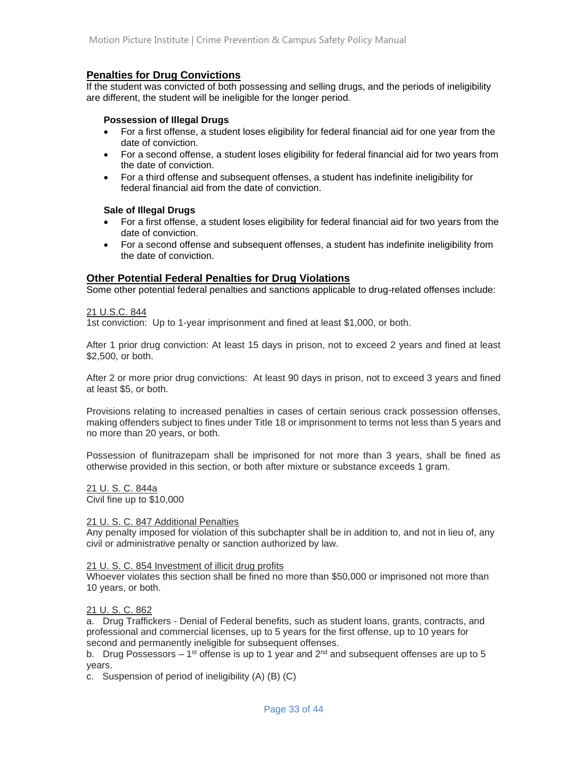#### **Penalties for Drug Convictions**

If the student was convicted of both possessing and selling drugs, and the periods of ineligibility are different, the student will be ineligible for the longer period.

#### **Possession of Illegal Drugs**

- For a first offense, a student loses eligibility for federal financial aid for one year from the date of conviction.
- For a second offense, a student loses eligibility for federal financial aid for two years from the date of conviction.
- For a third offense and subsequent offenses, a student has indefinite ineligibility for federal financial aid from the date of conviction.

#### **Sale of Illegal Drugs**

- For a first offense, a student loses eligibility for federal financial aid for two years from the date of conviction.
- For a second offense and subsequent offenses, a student has indefinite ineligibility from the date of conviction.

### **Other Potential Federal Penalties for Drug Violations**

Some other potential federal penalties and sanctions applicable to drug-related offenses include:

#### 21 U.S.C. 844

1st conviction: Up to 1-year imprisonment and fined at least \$1,000, or both.

After 1 prior drug conviction: At least 15 days in prison, not to exceed 2 years and fined at least \$2,500, or both.

After 2 or more prior drug convictions: At least 90 days in prison, not to exceed 3 years and fined at least \$5, or both.

Provisions relating to increased penalties in cases of certain serious crack possession offenses, making offenders subject to fines under Title 18 or imprisonment to terms not less than 5 years and no more than 20 years, or both.

Possession of flunitrazepam shall be imprisoned for not more than 3 years, shall be fined as otherwise provided in this section, or both after mixture or substance exceeds 1 gram.

21 U. S. C. 844a

Civil fine up to \$10,000

#### 21 U. S. C. 847 Additional Penalties

Any penalty imposed for violation of this subchapter shall be in addition to, and not in lieu of, any civil or administrative penalty or sanction authorized by law.

#### 21 U. S. C. 854 Investment of illicit drug profits

Whoever violates this section shall be fined no more than \$50,000 or imprisoned not more than 10 years, or both.

#### 21 U. S. C. 862

a. Drug Traffickers - Denial of Federal benefits, such as student loans, grants, contracts, and professional and commercial licenses, up to 5 years for the first offense, up to 10 years for second and permanently ineligible for subsequent offenses.

b. Drug Possessors – 1<sup>st</sup> offense is up to 1 year and 2<sup>nd</sup> and subsequent offenses are up to 5 years.

c. Suspension of period of ineligibility (A) (B) (C)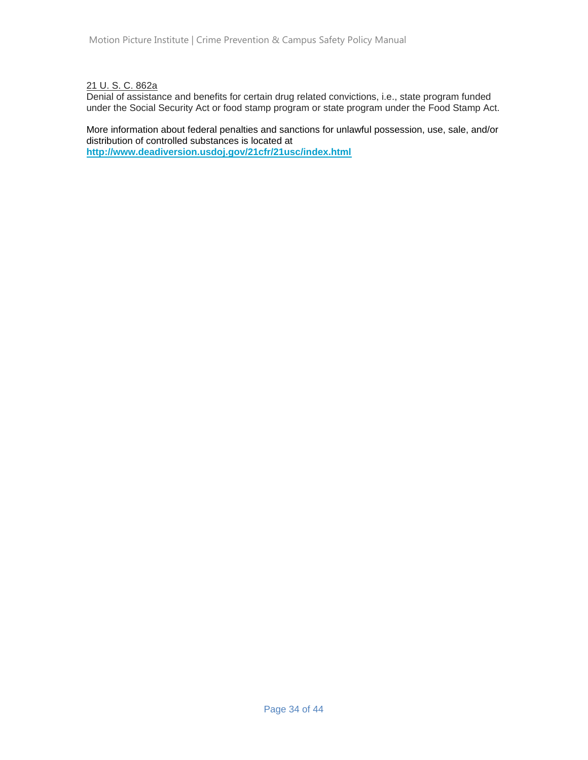21 U. S. C. 862a

Denial of assistance and benefits for certain drug related convictions, i.e., state program funded under the Social Security Act or food stamp program or state program under the Food Stamp Act.

More information about federal penalties and sanctions for unlawful possession, use, sale, and/or distribution of controlled substances is located at **<http://www.deadiversion.usdoj.gov/21cfr/21usc/index.html>**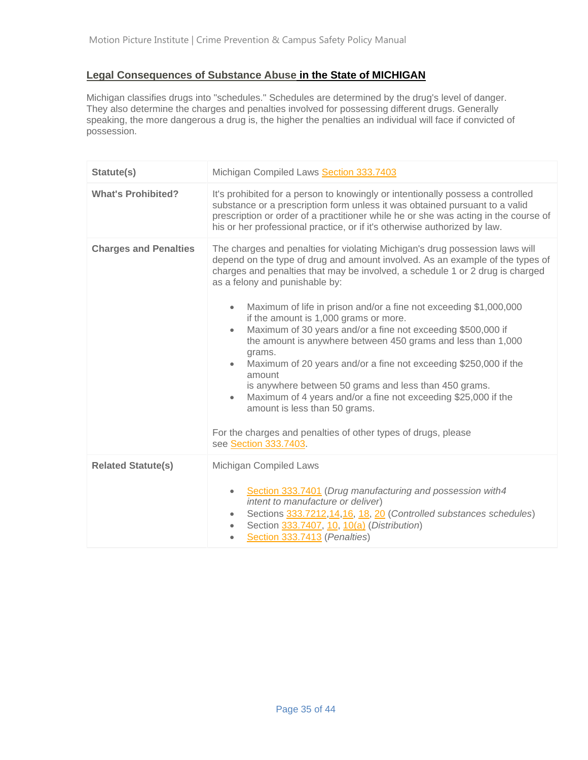# **Legal Consequences of Substance Abuse in the State of MICHIGAN**

Michigan classifies drugs into "schedules." Schedules are determined by the drug's level of danger. They also determine the charges and penalties involved for possessing different drugs. Generally speaking, the more dangerous a drug is, the higher the penalties an individual will face if convicted of possession.

| Statute(s)                   | Michigan Compiled Laws Section 333.7403                                                                                                                                                                                                                                                                                                                                                                                                                                                                                                                                                                                                                                                                                                                                                                                                                                                                                          |  |  |  |  |  |  |
|------------------------------|----------------------------------------------------------------------------------------------------------------------------------------------------------------------------------------------------------------------------------------------------------------------------------------------------------------------------------------------------------------------------------------------------------------------------------------------------------------------------------------------------------------------------------------------------------------------------------------------------------------------------------------------------------------------------------------------------------------------------------------------------------------------------------------------------------------------------------------------------------------------------------------------------------------------------------|--|--|--|--|--|--|
| <b>What's Prohibited?</b>    | It's prohibited for a person to knowingly or intentionally possess a controlled<br>substance or a prescription form unless it was obtained pursuant to a valid<br>prescription or order of a practitioner while he or she was acting in the course of<br>his or her professional practice, or if it's otherwise authorized by law.                                                                                                                                                                                                                                                                                                                                                                                                                                                                                                                                                                                               |  |  |  |  |  |  |
| <b>Charges and Penalties</b> | The charges and penalties for violating Michigan's drug possession laws will<br>depend on the type of drug and amount involved. As an example of the types of<br>charges and penalties that may be involved, a schedule 1 or 2 drug is charged<br>as a felony and punishable by:<br>Maximum of life in prison and/or a fine not exceeding \$1,000,000<br>$\bullet$<br>if the amount is 1,000 grams or more.<br>Maximum of 30 years and/or a fine not exceeding \$500,000 if<br>$\bullet$<br>the amount is anywhere between 450 grams and less than 1,000<br>grams.<br>Maximum of 20 years and/or a fine not exceeding \$250,000 if the<br>$\bullet$<br>amount<br>is anywhere between 50 grams and less than 450 grams.<br>Maximum of 4 years and/or a fine not exceeding \$25,000 if the<br>$\bullet$<br>amount is less than 50 grams.<br>For the charges and penalties of other types of drugs, please<br>see Section 333.7403. |  |  |  |  |  |  |
| <b>Related Statute(s)</b>    | Michigan Compiled Laws<br>Section 333.7401 (Drug manufacturing and possession with4<br>$\bullet$<br>intent to manufacture or deliver)<br>Sections 333.7212,14,16, 18, 20 (Controlled substances schedules)<br>$\bullet$<br>Section 333.7407, 10, 10(a) (Distribution)<br>$\bullet$<br>Section 333.7413 (Penalties)<br>$\bullet$                                                                                                                                                                                                                                                                                                                                                                                                                                                                                                                                                                                                  |  |  |  |  |  |  |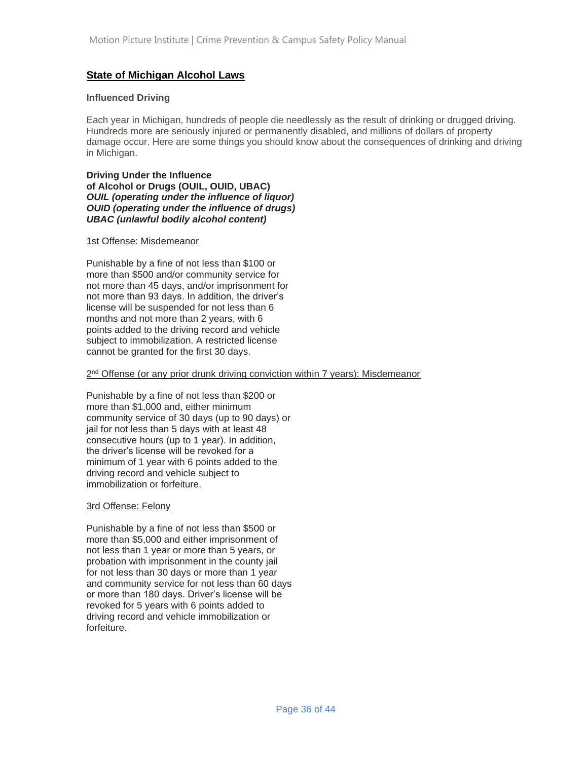#### **State of Michigan Alcohol Laws**

#### **Influenced Driving**

Each year in Michigan, hundreds of people die needlessly as the result of drinking or drugged driving. Hundreds more are seriously injured or permanently disabled, and millions of dollars of property damage occur. Here are some things you should know about the consequences of drinking and driving in Michigan.

**Driving Under the Influence of Alcohol or Drugs (OUIL, OUID, UBAC)** *OUIL (operating under the influence of liquor) OUID (operating under the influence of drugs) UBAC (unlawful bodily alcohol content)*

#### 1st Offense: Misdemeanor

Punishable by a fine of not less than \$100 or more than \$500 and/or community service for not more than 45 days, and/or imprisonment for not more than 93 days. In addition, the driver's license will be suspended for not less than 6 months and not more than 2 years, with 6 points added to the driving record and vehicle subject to immobilization. A restricted license cannot be granted for the first 30 days.

#### 2<sup>nd</sup> Offense (or any prior drunk driving conviction within 7 years): Misdemeanor

Punishable by a fine of not less than \$200 or more than \$1,000 and, either minimum community service of 30 days (up to 90 days) or jail for not less than 5 days with at least 48 consecutive hours (up to 1 year). In addition, the driver's license will be revoked for a minimum of 1 year with 6 points added to the driving record and vehicle subject to immobilization or forfeiture.

#### 3rd Offense: Felony

Punishable by a fine of not less than \$500 or more than \$5,000 and either imprisonment of not less than 1 year or more than 5 years, or probation with imprisonment in the county jail for not less than 30 days or more than 1 year and community service for not less than 60 days or more than 180 days. Driver's license will be revoked for 5 years with 6 points added to driving record and vehicle immobilization or forfeiture.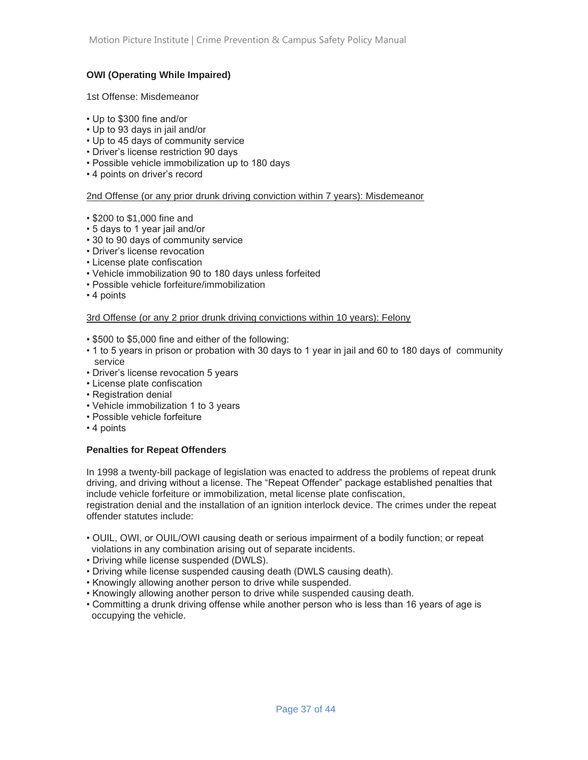#### **OWI (Operating While Impaired)**

#### 1st Offense: Misdemeanor

- Up to \$300 fine and/or
- Up to 93 days in jail and/or
- Up to 45 days of community service
- Driver's license restriction 90 days
- Possible vehicle immobilization up to 180 days
- 4 points on driver's record

#### 2nd Offense (or any prior drunk driving conviction within 7 years): Misdemeanor

- \$200 to \$1,000 fine and
- 5 days to 1 year jail and/or
- 30 to 90 days of community service
- Driver's license revocation
- License plate confiscation
- Vehicle immobilization 90 to 180 days unless forfeited
- Possible vehicle forfeiture/immobilization
- 4 points

#### 3rd Offense (or any 2 prior drunk driving convictions within 10 years): Felony

- \$500 to \$5,000 fine and either of the following:
- 1 to 5 years in prison or probation with 30 days to 1 year in jail and 60 to 180 days of community service
- Driver's license revocation 5 years
- License plate confiscation
- Registration denial
- Vehicle immobilization 1 to 3 years
- Possible vehicle forfeiture
- 4 points

#### **Penalties for Repeat Offenders**

In 1998 a twenty-bill package of legislation was enacted to address the problems of repeat drunk driving, and driving without a license. The "Repeat Offender" package established penalties that include vehicle forfeiture or immobilization, metal license plate confiscation,

registration denial and the installation of an ignition interlock device. The crimes under the repeat offender statutes include:

- OUIL, OWI, or OUIL/OWI causing death or serious impairment of a bodily function; or repeat violations in any combination arising out of separate incidents.
- Driving while license suspended (DWLS).
- Driving while license suspended causing death (DWLS causing death).
- Knowingly allowing another person to drive while suspended.
- Knowingly allowing another person to drive while suspended causing death.
- Committing a drunk driving offense while another person who is less than 16 years of age is occupying the vehicle.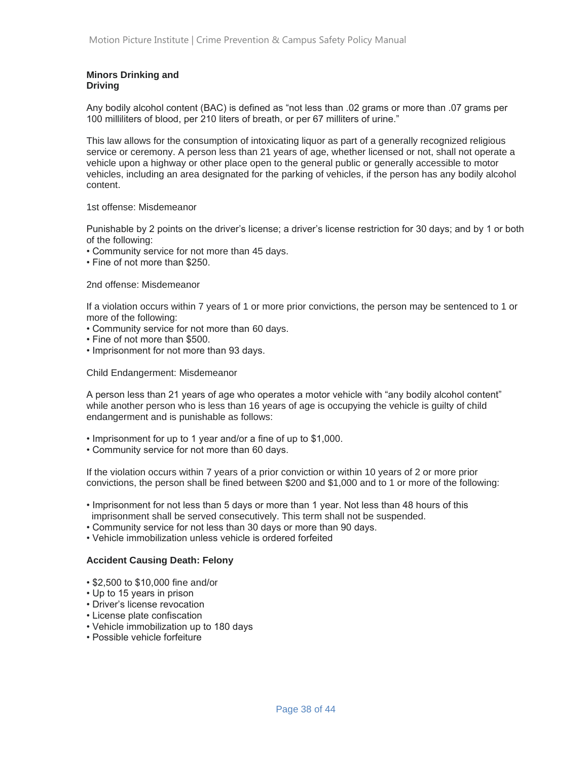#### **Minors Drinking and Driving**

Any bodily alcohol content (BAC) is defined as "not less than .02 grams or more than .07 grams per 100 milliliters of blood, per 210 liters of breath, or per 67 milliters of urine."

This law allows for the consumption of intoxicating liquor as part of a generally recognized religious service or ceremony. A person less than 21 years of age, whether licensed or not, shall not operate a vehicle upon a highway or other place open to the general public or generally accessible to motor vehicles, including an area designated for the parking of vehicles, if the person has any bodily alcohol content.

#### 1st offense: Misdemeanor

Punishable by 2 points on the driver's license; a driver's license restriction for 30 days; and by 1 or both of the following:

- Community service for not more than 45 days.
- Fine of not more than \$250.

#### 2nd offense: Misdemeanor

If a violation occurs within 7 years of 1 or more prior convictions, the person may be sentenced to 1 or more of the following:

- Community service for not more than 60 days.
- Fine of not more than \$500.
- Imprisonment for not more than 93 days.

Child Endangerment: Misdemeanor

A person less than 21 years of age who operates a motor vehicle with "any bodily alcohol content" while another person who is less than 16 years of age is occupying the vehicle is guilty of child endangerment and is punishable as follows:

- Imprisonment for up to 1 year and/or a fine of up to \$1,000.
- Community service for not more than 60 days.

If the violation occurs within 7 years of a prior conviction or within 10 years of 2 or more prior convictions, the person shall be fined between \$200 and \$1,000 and to 1 or more of the following:

- Imprisonment for not less than 5 days or more than 1 year. Not less than 48 hours of this imprisonment shall be served consecutively. This term shall not be suspended.
- Community service for not less than 30 days or more than 90 days.
- Vehicle immobilization unless vehicle is ordered forfeited

#### **Accident Causing Death: Felony**

- \$2,500 to \$10,000 fine and/or
- Up to 15 years in prison
- Driver's license revocation
- License plate confiscation
- Vehicle immobilization up to 180 days
- Possible vehicle forfeiture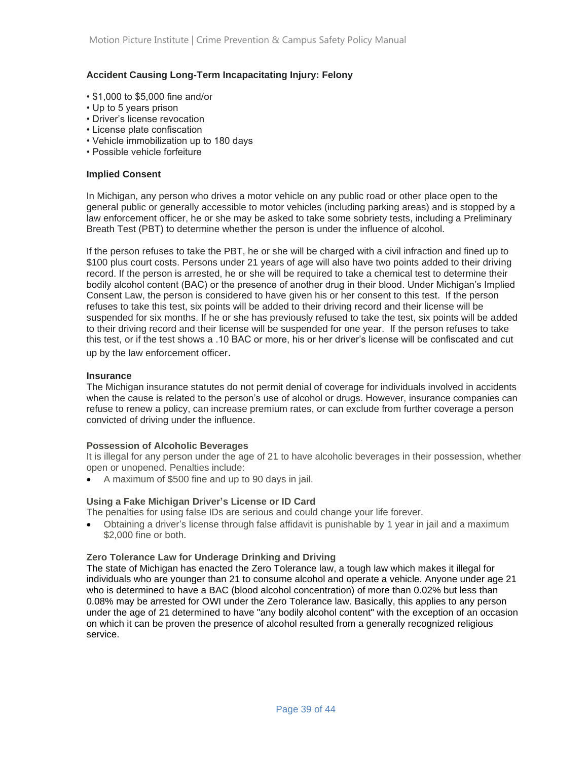#### **Accident Causing Long-Term Incapacitating Injury: Felony**

- \$1,000 to \$5,000 fine and/or
- Up to 5 years prison
- Driver's license revocation
- License plate confiscation
- Vehicle immobilization up to 180 days
- Possible vehicle forfeiture

#### **Implied Consent**

In Michigan, any person who drives a motor vehicle on any public road or other place open to the general public or generally accessible to motor vehicles (including parking areas) and is stopped by a law enforcement officer, he or she may be asked to take some sobriety tests, including a Preliminary Breath Test (PBT) to determine whether the person is under the influence of alcohol.

If the person refuses to take the PBT, he or she will be charged with a civil infraction and fined up to \$100 plus court costs. Persons under 21 years of age will also have two points added to their driving record. If the person is arrested, he or she will be required to take a chemical test to determine their bodily alcohol content (BAC) or the presence of another drug in their blood. Under Michigan's Implied Consent Law, the person is considered to have given his or her consent to this test. If the person refuses to take this test, six points will be added to their driving record and their license will be suspended for six months. If he or she has previously refused to take the test, six points will be added to their driving record and their license will be suspended for one year. If the person refuses to take this test, or if the test shows a .10 BAC or more, his or her driver's license will be confiscated and cut up by the law enforcement officer.

#### **Insurance**

The Michigan insurance statutes do not permit denial of coverage for individuals involved in accidents when the cause is related to the person's use of alcohol or drugs. However, insurance companies can refuse to renew a policy, can increase premium rates, or can exclude from further coverage a person convicted of driving under the influence.

#### **Possession of Alcoholic Beverages**

It is illegal for any person under the age of 21 to have alcoholic beverages in their possession, whether open or unopened. Penalties include:

• A maximum of \$500 fine and up to 90 days in jail.

#### **Using a Fake Michigan Driver's License or ID Card**

The penalties for using false IDs are serious and could change your life forever.

• Obtaining a driver's license through false affidavit is punishable by 1 year in jail and a maximum \$2,000 fine or both.

#### **Zero Tolerance Law for Underage Drinking and Driving**

The state of Michigan has enacted the Zero Tolerance law, a tough law which makes it illegal for individuals who are younger than 21 to consume alcohol and operate a vehicle. Anyone under age 21 who is determined to have a BAC (blood alcohol concentration) of more than 0.02% but less than 0.08% may be arrested for OWI under the Zero Tolerance law. Basically, this applies to any person under the age of 21 determined to have "any bodily alcohol content" with the exception of an occasion on which it can be proven the presence of alcohol resulted from a generally recognized religious service.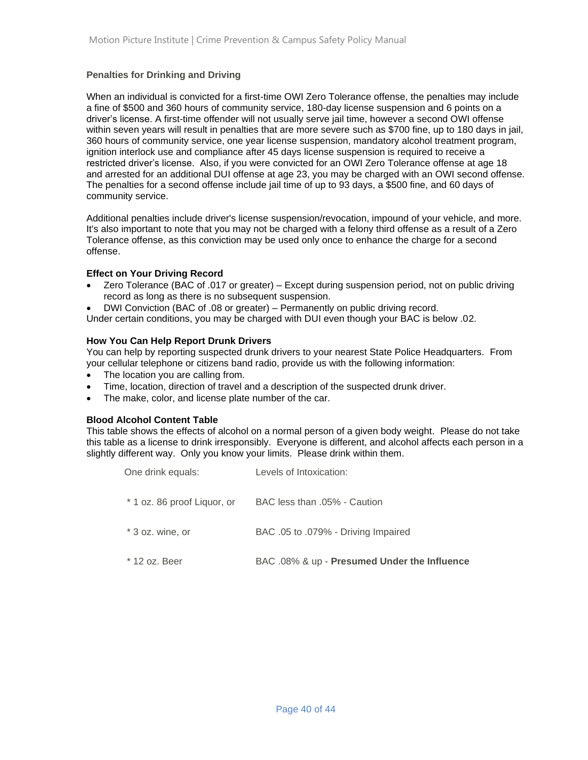#### **Penalties for Drinking and Driving**

When an individual is convicted for a first-time OWI Zero Tolerance offense, the penalties may include a fine of \$500 and 360 hours of community service, 180-day license suspension and 6 points on a driver's license. A first-time offender will not usually serve jail time, however a second OWI offense within seven years will result in penalties that are more severe such as \$700 fine, up to 180 days in jail, 360 hours of community service, one year license suspension, mandatory alcohol treatment program, ignition interlock use and compliance after 45 days license suspension is required to receive a restricted driver's license. Also, if you were convicted for an OWI Zero Tolerance offense at age 18 and arrested for an additional DUI offense at age 23, you may be charged with an OWI second offense. The penalties for a second offense include jail time of up to 93 days, a \$500 fine, and 60 days of community service.

Additional penalties include driver's license suspension/revocation, impound of your vehicle, and more. It's also important to note that you may not be charged with a felony third offense as a result of a Zero Tolerance offense, as this conviction may be used only once to enhance the charge for a second offense.

#### **Effect on Your Driving Record**

- Zero Tolerance (BAC of .017 or greater) Except during suspension period, not on public driving record as long as there is no subsequent suspension.
- DWI Conviction (BAC of .08 or greater) Permanently on public driving record.

Under certain conditions, you may be charged with DUI even though your BAC is below .02.

#### **How You Can Help Report Drunk Drivers**

You can help by reporting suspected drunk drivers to your nearest State Police Headquarters. From your cellular telephone or citizens band radio, provide us with the following information:

- The location you are calling from.
- Time, location, direction of travel and a description of the suspected drunk driver.
- The make, color, and license plate number of the car.

#### **Blood Alcohol Content Table**

This table shows the effects of alcohol on a normal person of a given body weight. Please do not take this table as a license to drink irresponsibly. Everyone is different, and alcohol affects each person in a slightly different way. Only you know your limits. Please drink within them.

| One drink equals:           | Levels of Intoxication:                      |
|-----------------------------|----------------------------------------------|
| * 1 oz. 86 proof Liquor, or | BAC less than .05% - Caution                 |
| * 3 oz. wine, or            | BAC .05 to .079% - Driving Impaired          |
| * 12 oz. Beer               | BAC .08% & up - Presumed Under the Influence |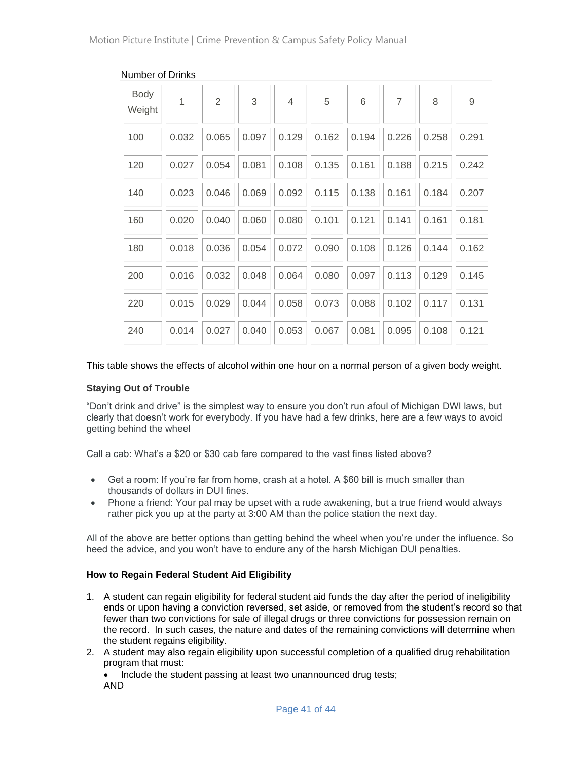| <b>Body</b><br>Weight | 1     | $\overline{2}$ | 3     | $\overline{4}$ | 5     | 6     | $\overline{7}$ | 8     | $\overline{9}$ |
|-----------------------|-------|----------------|-------|----------------|-------|-------|----------------|-------|----------------|
| 100                   | 0.032 | 0.065          | 0.097 | 0.129          | 0.162 | 0.194 | 0.226          | 0.258 | 0.291          |
| 120                   | 0.027 | 0.054          | 0.081 | 0.108          | 0.135 | 0.161 | 0.188          | 0.215 | 0.242          |
| 140                   | 0.023 | 0.046          | 0.069 | 0.092          | 0.115 | 0.138 | 0.161          | 0.184 | 0.207          |
| 160                   | 0.020 | 0.040          | 0.060 | 0.080          | 0.101 | 0.121 | 0.141          | 0.161 | 0.181          |
| 180                   | 0.018 | 0.036          | 0.054 | 0.072          | 0.090 | 0.108 | 0.126          | 0.144 | 0.162          |
| 200                   | 0.016 | 0.032          | 0.048 | 0.064          | 0.080 | 0.097 | 0.113          | 0.129 | 0.145          |
| 220                   | 0.015 | 0.029          | 0.044 | 0.058          | 0.073 | 0.088 | 0.102          | 0.117 | 0.131          |
| 240                   | 0.014 | 0.027          | 0.040 | 0.053          | 0.067 | 0.081 | 0.095          | 0.108 | 0.121          |

#### Number of Drinks

#### This table shows the effects of alcohol within one hour on a normal person of a given body weight.

#### **Staying Out of Trouble**

"Don't drink and drive" is the simplest way to ensure you don't run afoul of Michigan DWI laws, but clearly that doesn't work for everybody. If you have had a few drinks, here are a few ways to avoid getting behind the wheel

Call a cab: What's a \$20 or \$30 cab fare compared to the vast fines listed above?

- Get a room: If you're far from home, crash at a hotel. A \$60 bill is much smaller than thousands of dollars in DUI fines.
- Phone a friend: Your pal may be upset with a rude awakening, but a true friend would always rather pick you up at the party at 3:00 AM than the police station the next day.

All of the above are better options than getting behind the wheel when you're under the influence. So heed the advice, and you won't have to endure any of the harsh Michigan DUI penalties.

#### **How to Regain Federal Student Aid Eligibility**

- 1. A student can regain eligibility for federal student aid funds the day after the period of ineligibility ends or upon having a conviction reversed, set aside, or removed from the student's record so that fewer than two convictions for sale of illegal drugs or three convictions for possession remain on the record. In such cases, the nature and dates of the remaining convictions will determine when the student regains eligibility.
- 2. A student may also regain eligibility upon successful completion of a qualified drug rehabilitation program that must:

• Include the student passing at least two unannounced drug tests; AND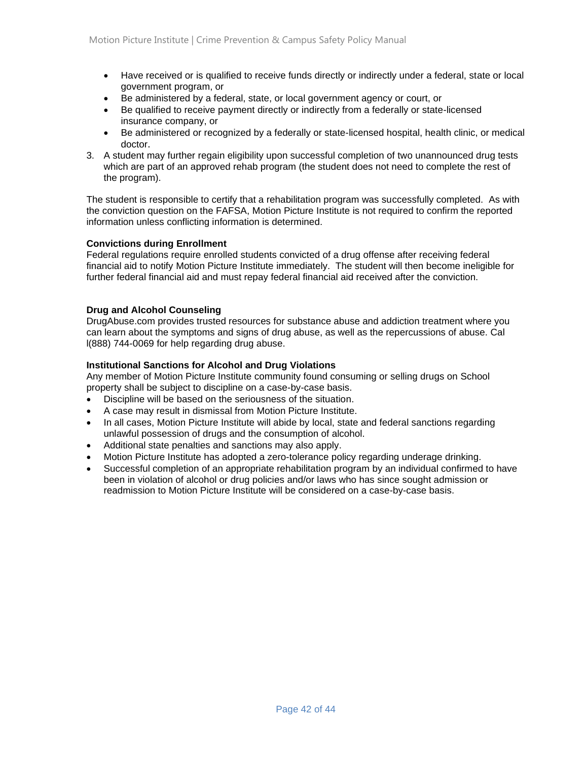- Have received or is qualified to receive funds directly or indirectly under a federal, state or local government program, or
- Be administered by a federal, state, or local government agency or court, or
- Be qualified to receive payment directly or indirectly from a federally or state-licensed insurance company, or
- Be administered or recognized by a federally or state-licensed hospital, health clinic, or medical doctor.
- 3. A student may further regain eligibility upon successful completion of two unannounced drug tests which are part of an approved rehab program (the student does not need to complete the rest of the program).

The student is responsible to certify that a rehabilitation program was successfully completed. As with the conviction question on the FAFSA, Motion Picture Institute is not required to confirm the reported information unless conflicting information is determined.

#### **Convictions during Enrollment**

Federal regulations require enrolled students convicted of a drug offense after receiving federal financial aid to notify Motion Picture Institute immediately. The student will then become ineligible for further federal financial aid and must repay federal financial aid received after the conviction.

#### **Drug and Alcohol Counseling**

DrugAbuse.com provides trusted resources for substance abuse and addiction treatment where you can learn about the symptoms and signs of drug abuse, as well as the repercussions of abuse. Cal l(888) 744-0069 for help regarding drug abuse.

#### **Institutional Sanctions for Alcohol and Drug Violations**

Any member of Motion Picture Institute community found consuming or selling drugs on School property shall be subject to discipline on a case-by-case basis.

- Discipline will be based on the seriousness of the situation.
- A case may result in dismissal from Motion Picture Institute.
- In all cases, Motion Picture Institute will abide by local, state and federal sanctions regarding unlawful possession of drugs and the consumption of alcohol.
- Additional state penalties and sanctions may also apply.
- Motion Picture Institute has adopted a zero-tolerance policy regarding underage drinking.
- Successful completion of an appropriate rehabilitation program by an individual confirmed to have been in violation of alcohol or drug policies and/or laws who has since sought admission or readmission to Motion Picture Institute will be considered on a case-by-case basis.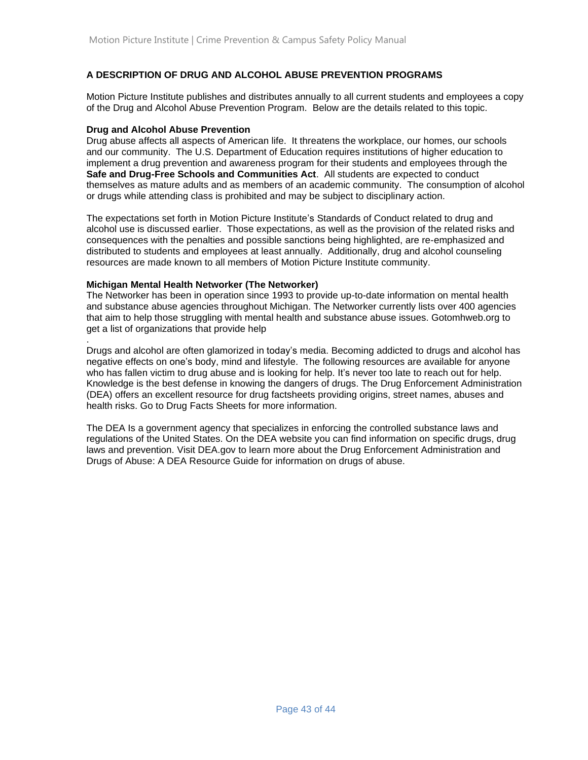#### **A DESCRIPTION OF DRUG AND ALCOHOL ABUSE PREVENTION PROGRAMS**

Motion Picture Institute publishes and distributes annually to all current students and employees a copy of the Drug and Alcohol Abuse Prevention Program. Below are the details related to this topic.

#### **Drug and Alcohol Abuse Prevention**

Drug abuse affects all aspects of American life. It threatens the workplace, our homes, our schools and our community. The U.S. Department of Education requires institutions of higher education to implement a drug prevention and awareness program for their students and employees through the **Safe and Drug-Free Schools and Communities Act**. All students are expected to conduct themselves as mature adults and as members of an academic community. The consumption of alcohol or drugs while attending class is prohibited and may be subject to disciplinary action.

The expectations set forth in Motion Picture Institute's Standards of Conduct related to drug and alcohol use is discussed earlier. Those expectations, as well as the provision of the related risks and consequences with the penalties and possible sanctions being highlighted, are re-emphasized and distributed to students and employees at least annually. Additionally, drug and alcohol counseling resources are made known to all members of Motion Picture Institute community.

#### **Michigan Mental Health Networker (The Networker)**

The Networker has been in operation since 1993 to provide up-to-date information on mental health and substance abuse agencies throughout Michigan. The Networker currently lists over 400 agencies that aim to help those struggling with mental health and substance abuse issues. Gotomhweb.org to get a list of organizations that provide help

. Drugs and alcohol are often glamorized in today's media. Becoming addicted to drugs and alcohol has negative effects on one's body, mind and lifestyle. The following resources are available for anyone who has fallen victim to drug abuse and is looking for help. It's never too late to reach out for help. Knowledge is the best defense in knowing the dangers of drugs. The Drug Enforcement Administration (DEA) offers an excellent resource for drug factsheets providing origins, street names, abuses and health risks. Go to Drug Facts Sheets for more information.

The DEA Is a government agency that specializes in enforcing the controlled substance laws and regulations of the United States. On the DEA website you can find information on specific drugs, drug laws and prevention. Visit DEA.gov to learn more about the Drug Enforcement Administration and Drugs of Abuse: A DEA Resource Guide for information on drugs of abuse.